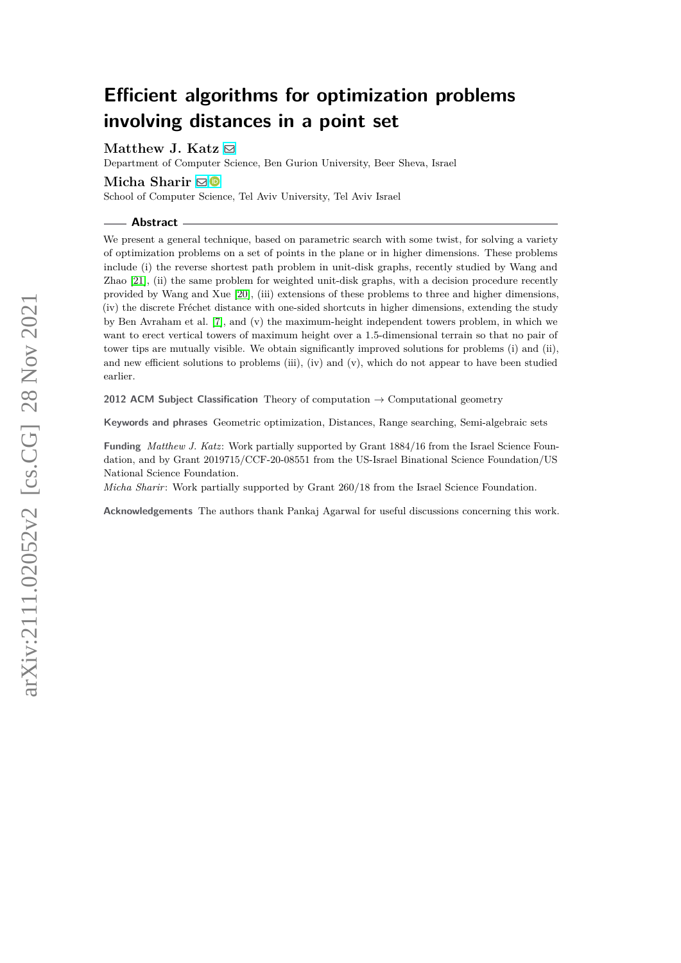# **Efficient algorithms for optimization problems involving distances in a point set**

Matthew J. Katz  $\boxtimes$ 

Department of Computer Science, Ben Gurion University, Beer Sheva, Israel

# **Micha Sharir** [!](mailto:michas@tauex.tau.ac.il)

School of Computer Science, Tel Aviv University, Tel Aviv Israel

#### **Abstract**

We present a general technique, based on parametric search with some twist, for solving a variety of optimization problems on a set of points in the plane or in higher dimensions. These problems include (i) the reverse shortest path problem in unit-disk graphs, recently studied by Wang and Zhao [\[21\]](#page-19-0), (ii) the same problem for weighted unit-disk graphs, with a decision procedure recently provided by Wang and Xue [\[20\]](#page-19-1), (iii) extensions of these problems to three and higher dimensions, (iv) the discrete Fréchet distance with one-sided shortcuts in higher dimensions, extending the study by Ben Avraham et al. [\[7\]](#page-18-0), and (v) the maximum-height independent towers problem, in which we want to erect vertical towers of maximum height over a 1.5-dimensional terrain so that no pair of tower tips are mutually visible. We obtain significantly improved solutions for problems (i) and (ii), and new efficient solutions to problems (iii), (iv) and (v), which do not appear to have been studied earlier.

**2012 ACM Subject Classification** Theory of computation → Computational geometry

**Keywords and phrases** Geometric optimization, Distances, Range searching, Semi-algebraic sets

**Funding** *Matthew J. Katz*: Work partially supported by Grant 1884/16 from the Israel Science Foundation, and by Grant 2019715/CCF-20-08551 from the US-Israel Binational Science Foundation/US National Science Foundation.

*Micha Sharir*: Work partially supported by Grant 260/18 from the Israel Science Foundation.

**Acknowledgements** The authors thank Pankaj Agarwal for useful discussions concerning this work.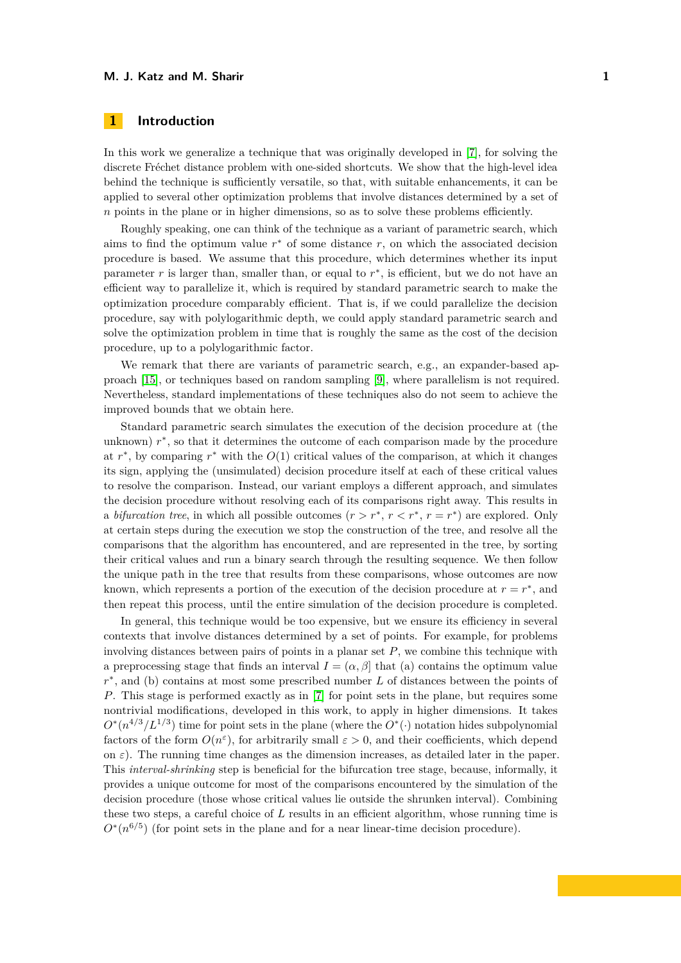# **1 Introduction**

In this work we generalize a technique that was originally developed in [\[7\]](#page-18-0), for solving the discrete Fréchet distance problem with one-sided shortcuts. We show that the high-level idea behind the technique is sufficiently versatile, so that, with suitable enhancements, it can be applied to several other optimization problems that involve distances determined by a set of *n* points in the plane or in higher dimensions, so as to solve these problems efficiently.

Roughly speaking, one can think of the technique as a variant of parametric search, which aims to find the optimum value  $r^*$  of some distance  $r$ , on which the associated decision procedure is based. We assume that this procedure, which determines whether its input parameter  $r$  is larger than, smaller than, or equal to  $r^*$ , is efficient, but we do not have an efficient way to parallelize it, which is required by standard parametric search to make the optimization procedure comparably efficient. That is, if we could parallelize the decision procedure, say with polylogarithmic depth, we could apply standard parametric search and solve the optimization problem in time that is roughly the same as the cost of the decision procedure, up to a polylogarithmic factor.

We remark that there are variants of parametric search, e.g., an expander-based approach [\[15\]](#page-18-1), or techniques based on random sampling [\[9\]](#page-18-2), where parallelism is not required. Nevertheless, standard implementations of these techniques also do not seem to achieve the improved bounds that we obtain here.

Standard parametric search simulates the execution of the decision procedure at (the unknown)  $r^*$ , so that it determines the outcome of each comparison made by the procedure at  $r^*$ , by comparing  $r^*$  with the  $O(1)$  critical values of the comparison, at which it changes its sign, applying the (unsimulated) decision procedure itself at each of these critical values to resolve the comparison. Instead, our variant employs a different approach, and simulates the decision procedure without resolving each of its comparisons right away. This results in a *bifurcation tree*, in which all possible outcomes  $(r > r^*, r < r^*, r = r^*)$  are explored. Only at certain steps during the execution we stop the construction of the tree, and resolve all the comparisons that the algorithm has encountered, and are represented in the tree, by sorting their critical values and run a binary search through the resulting sequence. We then follow the unique path in the tree that results from these comparisons, whose outcomes are now known, which represents a portion of the execution of the decision procedure at  $r = r^*$ , and then repeat this process, until the entire simulation of the decision procedure is completed.

In general, this technique would be too expensive, but we ensure its efficiency in several contexts that involve distances determined by a set of points. For example, for problems involving distances between pairs of points in a planar set *P*, we combine this technique with a preprocessing stage that finds an interval  $I = (\alpha, \beta]$  that (a) contains the optimum value *r*<sup>\*</sup>, and (b) contains at most some prescribed number *L* of distances between the points of *P*. This stage is performed exactly as in [\[7\]](#page-18-0) for point sets in the plane, but requires some nontrivial modifications, developed in this work, to apply in higher dimensions. It takes  $O^*(n^{4/3}/L^{1/3})$  time for point sets in the plane (where the  $O^*(\cdot)$  notation hides subpolynomial factors of the form  $O(n^{\epsilon})$ , for arbitrarily small  $\varepsilon > 0$ , and their coefficients, which depend on  $\varepsilon$ ). The running time changes as the dimension increases, as detailed later in the paper. This *interval-shrinking* step is beneficial for the bifurcation tree stage, because, informally, it provides a unique outcome for most of the comparisons encountered by the simulation of the decision procedure (those whose critical values lie outside the shrunken interval). Combining these two steps, a careful choice of *L* results in an efficient algorithm, whose running time is  $O^*(n^{6/5})$  (for point sets in the plane and for a near linear-time decision procedure).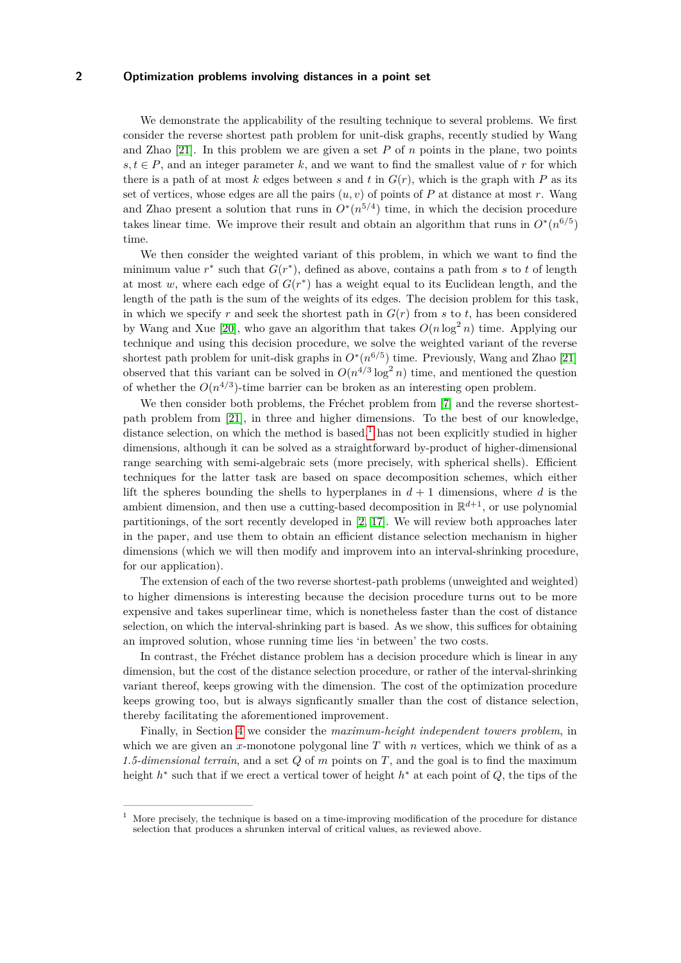We demonstrate the applicability of the resulting technique to several problems. We first consider the reverse shortest path problem for unit-disk graphs, recently studied by Wang and Zhao  $[21]$ . In this problem we are given a set P of n points in the plane, two points  $s, t \in P$ , and an integer parameter k, and we want to find the smallest value of r for which there is a path of at most  $k$  edges between  $s$  and  $t$  in  $G(r)$ , which is the graph with  $P$  as its set of vertices, whose edges are all the pairs  $(u, v)$  of points of P at distance at most r. Wang and Zhao present a solution that runs in  $O^*(n^{5/4})$  time, in which the decision procedure takes linear time. We improve their result and obtain an algorithm that runs in  $O^*(n^{6/5})$ time.

We then consider the weighted variant of this problem, in which we want to find the minimum value  $r^*$  such that  $G(r^*)$ , defined as above, contains a path from *s* to *t* of length at most  $w$ , where each edge of  $G(r^*)$  has a weight equal to its Euclidean length, and the length of the path is the sum of the weights of its edges. The decision problem for this task, in which we specify r and seek the shortest path in  $G(r)$  from  $s$  to  $t$ , has been considered by Wang and Xue [\[20\]](#page-19-1), who gave an algorithm that takes  $O(n \log^2 n)$  time. Applying our technique and using this decision procedure, we solve the weighted variant of the reverse shortest path problem for unit-disk graphs in  $O^*(n^{6/5})$  time. Previously, Wang and Zhao [\[21\]](#page-19-0) observed that this variant can be solved in  $O(n^{4/3} \log^2 n)$  time, and mentioned the question of whether the  $O(n^{4/3})$ -time barrier can be broken as an interesting open problem.

We then consider both problems, the Fréchet problem from [\[7\]](#page-18-0) and the reverse shortestpath problem from [\[21\]](#page-19-0), in three and higher dimensions. To the best of our knowledge, distance selection, on which the method is based, $<sup>1</sup>$  $<sup>1</sup>$  $<sup>1</sup>$  has not been explicitly studied in higher</sup> dimensions, although it can be solved as a straightforward by-product of higher-dimensional range searching with semi-algebraic sets (more precisely, with spherical shells). Efficient techniques for the latter task are based on space decomposition schemes, which either lift the spheres bounding the shells to hyperplanes in  $d+1$  dimensions, where  $d$  is the ambient dimension, and then use a cutting-based decomposition in  $\mathbb{R}^{d+1}$ , or use polynomial partitionings, of the sort recently developed in [\[2,](#page-18-3) [17\]](#page-19-2). We will review both approaches later in the paper, and use them to obtain an efficient distance selection mechanism in higher dimensions (which we will then modify and improvem into an interval-shrinking procedure, for our application).

The extension of each of the two reverse shortest-path problems (unweighted and weighted) to higher dimensions is interesting because the decision procedure turns out to be more expensive and takes superlinear time, which is nonetheless faster than the cost of distance selection, on which the interval-shrinking part is based. As we show, this suffices for obtaining an improved solution, whose running time lies 'in between' the two costs.

In contrast, the Fréchet distance problem has a decision procedure which is linear in any dimension, but the cost of the distance selection procedure, or rather of the interval-shrinking variant thereof, keeps growing with the dimension. The cost of the optimization procedure keeps growing too, but is always signficantly smaller than the cost of distance selection, thereby facilitating the aforementioned improvement.

Finally, in Section [4](#page-13-0) we consider the *maximum-height independent towers problem*, in which we are given an *x*-monotone polygonal line  $T$  with  $n$  vertices, which we think of as a *1.5-dimensional terrain*, and a set *Q* of *m* points on *T*, and the goal is to find the maximum height *h* ∗ such that if we erect a vertical tower of height *h* <sup>∗</sup> at each point of *Q*, the tips of the

<span id="page-2-0"></span><sup>1</sup> More precisely, the technique is based on a time-improving modification of the procedure for distance selection that produces a shrunken interval of critical values, as reviewed above.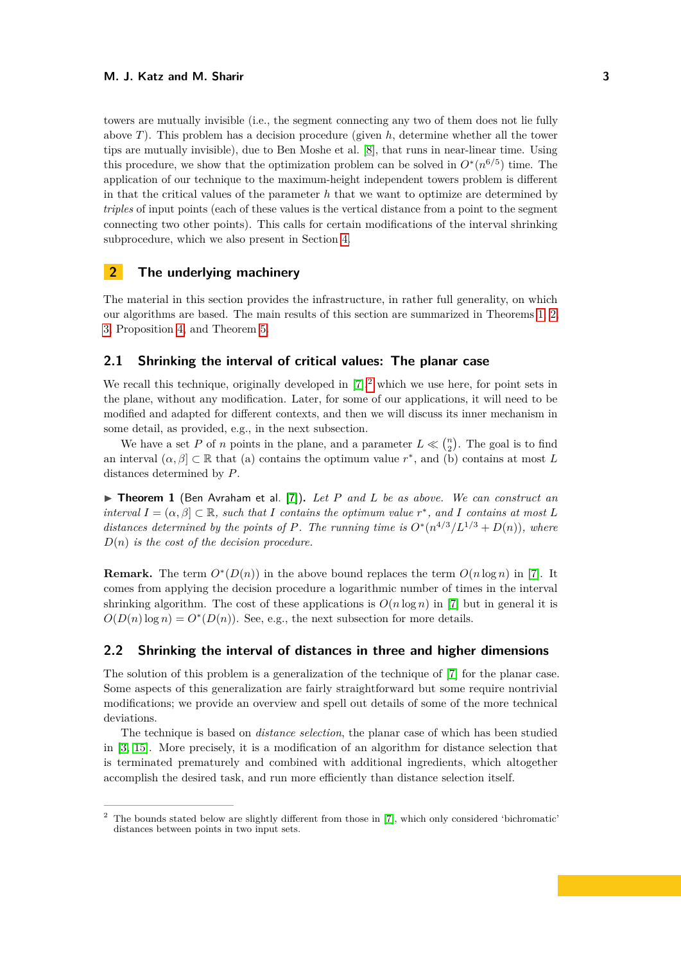towers are mutually invisible (i.e., the segment connecting any two of them does not lie fully above *T*). This problem has a decision procedure (given *h*, determine whether all the tower tips are mutually invisible), due to Ben Moshe et al. [\[8\]](#page-18-4), that runs in near-linear time. Using this procedure, we show that the optimization problem can be solved in  $O^*(n^{6/5})$  time. The application of our technique to the maximum-height independent towers problem is different in that the critical values of the parameter *h* that we want to optimize are determined by *triples* of input points (each of these values is the vertical distance from a point to the segment connecting two other points). This calls for certain modifications of the interval shrinking subprocedure, which we also present in Section [4.](#page-13-0)

# **2 The underlying machinery**

The material in this section provides the infrastructure, in rather full generality, on which our algorithms are based. The main results of this section are summarized in Theorems [1,](#page-3-0) [2,](#page-5-0) [3,](#page-6-0) Proposition [4,](#page-8-0) and Theorem [5.](#page-8-1)

# <span id="page-3-3"></span>**2.1 Shrinking the interval of critical values: The planar case**

We recall this technique, originally developed in  $[7]^2$  $[7]^2$  $[7]^2$  which we use here, for point sets in the plane, without any modification. Later, for some of our applications, it will need to be modified and adapted for different contexts, and then we will discuss its inner mechanism in some detail, as provided, e.g., in the next subsection.

We have a set *P* of *n* points in the plane, and a parameter  $L \ll \binom{n}{2}$ . The goal is to find an interval  $(\alpha, \beta] \subset \mathbb{R}$  that (a) contains the optimum value  $r^*$ , and (b) contains at most *L* distances determined by *P*.

<span id="page-3-0"></span>▶ Theorem 1 (Ben Avraham et al. [\[7\]](#page-18-0)). Let P and L be as above. We can construct an *interval*  $I = (\alpha, \beta] \subset \mathbb{R}$ , such that *I* contains the optimum value  $r^*$ , and *I* contains at most *L distances determined by the points of P. The running time is*  $O^*(n^{4/3}/L^{1/3} + D(n))$ *, where D*(*n*) *is the cost of the decision procedure.*

**Remark.** The term  $O^*(D(n))$  in the above bound replaces the term  $O(n \log n)$  in [\[7\]](#page-18-0). It comes from applying the decision procedure a logarithmic number of times in the interval shrinking algorithm. The cost of these applications is  $O(n \log n)$  in [\[7\]](#page-18-0) but in general it is  $O(D(n) \log n) = O^*(D(n))$ . See, e.g., the next subsection for more details.

# <span id="page-3-2"></span>**2.2 Shrinking the interval of distances in three and higher dimensions**

The solution of this problem is a generalization of the technique of [\[7\]](#page-18-0) for the planar case. Some aspects of this generalization are fairly straightforward but some require nontrivial modifications; we provide an overview and spell out details of some of the more technical deviations.

The technique is based on *distance selection*, the planar case of which has been studied in [\[3,](#page-18-5) [15\]](#page-18-1). More precisely, it is a modification of an algorithm for distance selection that is terminated prematurely and combined with additional ingredients, which altogether accomplish the desired task, and run more efficiently than distance selection itself.

<span id="page-3-1"></span><sup>2</sup> The bounds stated below are slightly different from those in [\[7\]](#page-18-0), which only considered 'bichromatic' distances between points in two input sets.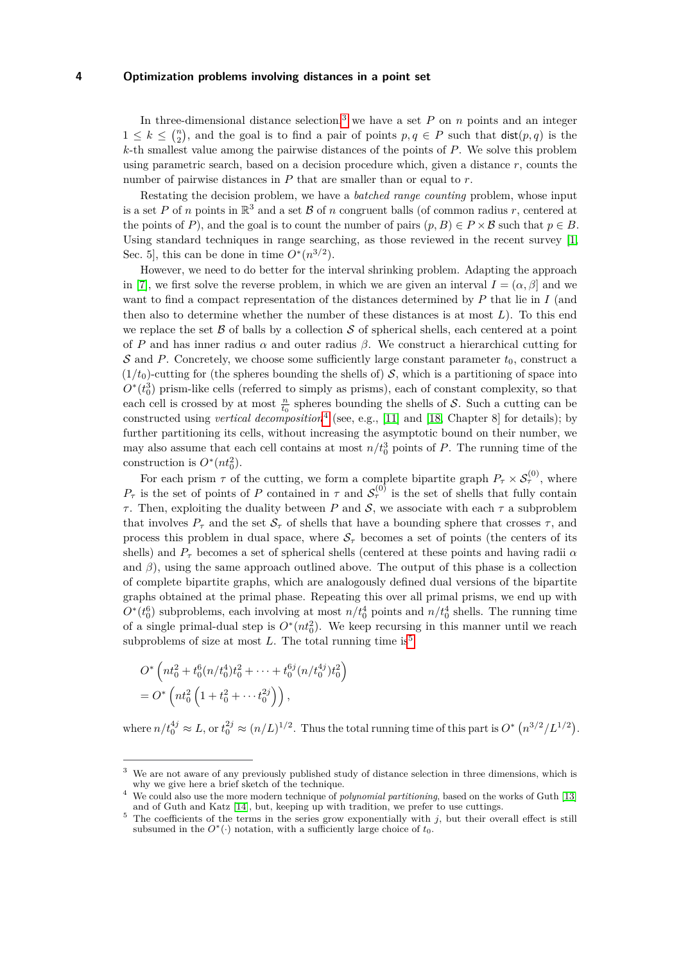In three-dimensional distance selection,<sup>[3](#page-4-0)</sup> we have a set  $P$  on  $n$  points and an integer  $1 \leq k \leq {n \choose 2}$ , and the goal is to find a pair of points  $p, q \in P$  such that  $\textsf{dist}(p, q)$  is the *k*-th smallest value among the pairwise distances of the points of *P*. We solve this problem using parametric search, based on a decision procedure which, given a distance *r*, counts the number of pairwise distances in *P* that are smaller than or equal to *r*.

Restating the decision problem, we have a *batched range counting* problem, whose input is a set P of *n* points in  $\mathbb{R}^3$  and a set B of *n* congruent balls (of common radius r, centered at the points of *P*), and the goal is to count the number of pairs  $(p, B) \in P \times B$  such that  $p \in B$ . Using standard techniques in range searching, as those reviewed in the recent survey [\[1,](#page-18-6) Sec. 5, this can be done in time  $O^*(n^{3/2})$ .

However, we need to do better for the interval shrinking problem. Adapting the approach in [\[7\]](#page-18-0), we first solve the reverse problem, in which we are given an interval  $I = (\alpha, \beta]$  and we want to find a compact representation of the distances determined by *P* that lie in *I* (and then also to determine whether the number of these distances is at most *L*). To this end we replace the set  $\beta$  of balls by a collection  $\delta$  of spherical shells, each centered at a point of *P* and has inner radius *α* and outer radius *β*. We construct a hierarchical cutting for S and P. Concretely, we choose some sufficiently large constant parameter  $t_0$ , construct a  $(1/t_0)$ -cutting for (the spheres bounding the shells of) S, which is a partitioning of space into  $O^*(t_0^3)$  prism-like cells (referred to simply as prisms), each of constant complexity, so that each cell is crossed by at most  $\frac{n}{t_0}$  spheres bounding the shells of S. Such a cutting can be constructed using *vertical decomposition*[4](#page-4-1) (see, e.g., [\[11\]](#page-18-7) and [\[18,](#page-19-3) Chapter 8] for details); by further partitioning its cells, without increasing the asymptotic bound on their number, we may also assume that each cell contains at most  $n/t_0^3$  points of *P*. The running time of the construction is  $O^*(nt_0^2)$ .

For each prism  $\tau$  of the cutting, we form a complete bipartite graph  $P_{\tau} \times S_{\tau}^{(0)}$ , where  $P_{\tau}$  is the set of points of *P* contained in  $\tau$  and  $S_{\tau}^{(0)}$  is the set of shells that fully contain *τ*. Then, exploiting the duality between *P* and *S*, we associate with each  $\tau$  a subproblem that involves  $P_{\tau}$  and the set  $S_{\tau}$  of shells that have a bounding sphere that crosses  $\tau$ , and process this problem in dual space, where  $S_{\tau}$  becomes a set of points (the centers of its shells) and *P<sup>τ</sup>* becomes a set of spherical shells (centered at these points and having radii *α* and  $\beta$ ), using the same approach outlined above. The output of this phase is a collection of complete bipartite graphs, which are analogously defined dual versions of the bipartite graphs obtained at the primal phase. Repeating this over all primal prisms, we end up with  $O^*(t_0^6)$  subproblems, each involving at most  $n/t_0^4$  points and  $n/t_0^4$  shells. The running time of a single primal-dual step is  $O^*(nt_0^2)$ . We keep recursing in this manner until we reach subproblems of size at most  $L$ . The total running time is<sup>[5](#page-4-2)</sup>

$$
O^*\left(nt_0^2 + t_0^6(n/t_0^4)t_0^2 + \dots + t_0^{6j}(n/t_0^{4j})t_0^2\right)
$$
  
= 
$$
O^*\left(nt_0^2\left(1 + t_0^2 + \dots + t_0^{2j}\right)\right),
$$

where  $n/t_0^{4j} \approx L$ , or  $t_0^{2j} \approx (n/L)^{1/2}$ . Thus the total running time of this part is  $O^*$   $\left(n^{3/2}/L^{1/2}\right)$ .

<span id="page-4-0"></span>We are not aware of any previously published study of distance selection in three dimensions, which is why we give here a brief sketch of the technique.

<span id="page-4-1"></span><sup>4</sup> We could also use the more modern technique of *polynomial partitioning*, based on the works of Guth [\[13\]](#page-18-8) and of Guth and Katz [\[14\]](#page-18-9), but, keeping up with tradition, we prefer to use cuttings.

<span id="page-4-2"></span> $5$  The coefficients of the terms in the series grow exponentially with *j*, but their overall effect is still subsumed in the  $O^*(\cdot)$  notation, with a sufficiently large choice of  $t_0$ .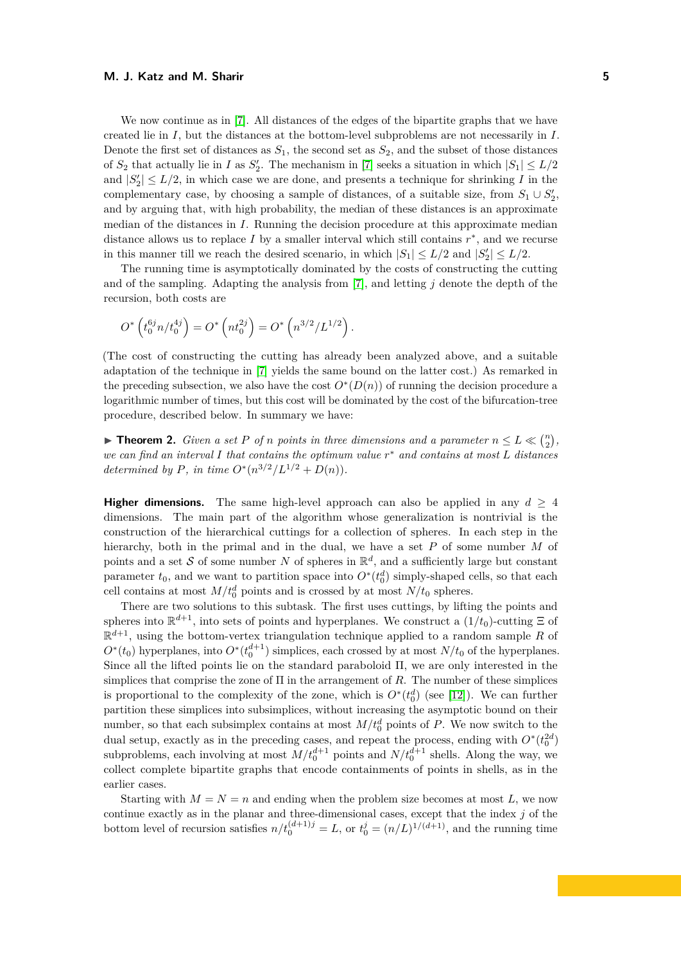We now continue as in [\[7\]](#page-18-0). All distances of the edges of the bipartite graphs that we have created lie in *I*, but the distances at the bottom-level subproblems are not necessarily in *I*. Denote the first set of distances as  $S_1$ , the second set as  $S_2$ , and the subset of those distances of  $S_2$  that actually lie in *I* as  $S_2'$ . The mechanism in [\[7\]](#page-18-0) seeks a situation in which  $|S_1| \leq L/2$ and  $|S'_2| \leq L/2$ , in which case we are done, and presents a technique for shrinking *I* in the complementary case, by choosing a sample of distances, of a suitable size, from  $S_1 \cup S_2'$ , and by arguing that, with high probability, the median of these distances is an approximate median of the distances in *I*. Running the decision procedure at this approximate median distance allows us to replace  $I$  by a smaller interval which still contains  $r^*$ , and we recurse in this manner till we reach the desired scenario, in which  $|S_1| \leq L/2$  and  $|S'_2| \leq L/2$ .

The running time is asymptotically dominated by the costs of constructing the cutting and of the sampling. Adapting the analysis from [\[7\]](#page-18-0), and letting *j* denote the depth of the recursion, both costs are

$$
O^*\left(t_0^{6j}n/t_0^{4j}\right) = O^*\left(nt_0^{2j}\right) = O^*\left(n^{3/2}/L^{1/2}\right).
$$

(The cost of constructing the cutting has already been analyzed above, and a suitable adaptation of the technique in [\[7\]](#page-18-0) yields the same bound on the latter cost.) As remarked in the preceding subsection, we also have the cost  $O^*(D(n))$  of running the decision procedure a logarithmic number of times, but this cost will be dominated by the cost of the bifurcation-tree procedure, described below. In summary we have:

<span id="page-5-0"></span>**Findam 1.** *Given a set P of n points in three dimensions and a parameter*  $n \le L \ll {n \choose 2}$ , *we can find an interval I that contains the optimum value r* <sup>∗</sup> *and contains at most L distances determined by P, in time*  $O^*(n^{3/2}/L^{1/2} + D(n)).$ 

**Higher dimensions.** The same high-level approach can also be applied in any  $d \geq 4$ dimensions. The main part of the algorithm whose generalization is nontrivial is the construction of the hierarchical cuttings for a collection of spheres. In each step in the hierarchy, both in the primal and in the dual, we have a set P of some number M of points and a set S of some number N of spheres in  $\mathbb{R}^d$ , and a sufficiently large but constant parameter  $t_0$ , and we want to partition space into  $O^*(t_0^d)$  simply-shaped cells, so that each cell contains at most  $M/t_0^d$  points and is crossed by at most  $N/t_0$  spheres.

There are two solutions to this subtask. The first uses cuttings, by lifting the points and spheres into  $\mathbb{R}^{d+1}$ , into sets of points and hyperplanes. We construct a  $(1/t_0)$ -cutting  $\Xi$  of  $\mathbb{R}^{d+1}$ , using the bottom-vertex triangulation technique applied to a random sample R of  $O^*(t_0)$  hyperplanes, into  $O^*(t_0^{d+1})$  simplices, each crossed by at most  $N/t_0$  of the hyperplanes. Since all the lifted points lie on the standard paraboloid Π, we are only interested in the simplices that comprise the zone of Π in the arrangement of *R*. The number of these simplices is proportional to the complexity of the zone, which is  $O^*(t_0^d)$  (see [\[12\]](#page-18-10)). We can further partition these simplices into subsimplices, without increasing the asymptotic bound on their number, so that each subsimplex contains at most  $M/t_0^d$  points of *P*. We now switch to the dual setup, exactly as in the preceding cases, and repeat the process, ending with  $O^*(t_0^{2d})$ subproblems, each involving at most  $M/t_0^{d+1}$  points and  $N/t_0^{d+1}$  shells. Along the way, we collect complete bipartite graphs that encode containments of points in shells, as in the earlier cases.

Starting with  $M = N = n$  and ending when the problem size becomes at most L, we now continue exactly as in the planar and three-dimensional cases, except that the index *j* of the bottom level of recursion satisfies  $n/t_0^{(d+1)j} = L$ , or  $t_0^j = (n/L)^{1/(d+1)}$ , and the running time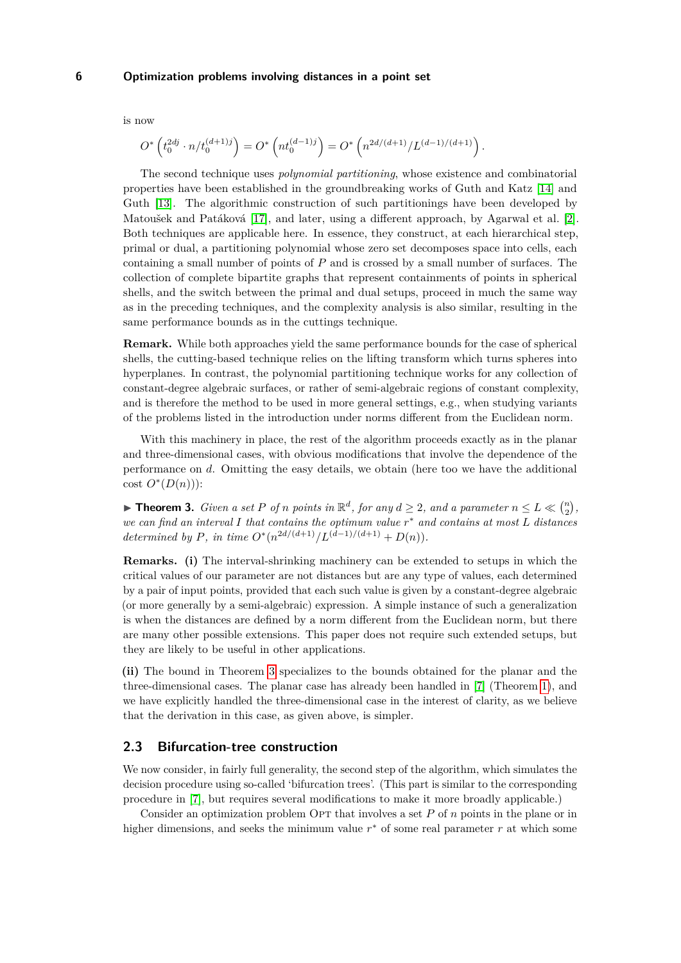is now

$$
O^*\left(t_0^{2dj}\cdot n/t_0^{(d+1)j}\right)=O^*\left(nt_0^{(d-1)j}\right)=O^*\left(n^{2d/(d+1)}/L^{(d-1)/(d+1)}\right).
$$

The second technique uses *polynomial partitioning*, whose existence and combinatorial properties have been established in the groundbreaking works of Guth and Katz [\[14\]](#page-18-9) and Guth [\[13\]](#page-18-8). The algorithmic construction of such partitionings have been developed by Matoušek and Patáková [\[17\]](#page-19-2), and later, using a different approach, by Agarwal et al. [\[2\]](#page-18-3). Both techniques are applicable here. In essence, they construct, at each hierarchical step, primal or dual, a partitioning polynomial whose zero set decomposes space into cells, each containing a small number of points of *P* and is crossed by a small number of surfaces. The collection of complete bipartite graphs that represent containments of points in spherical shells, and the switch between the primal and dual setups, proceed in much the same way as in the preceding techniques, and the complexity analysis is also similar, resulting in the same performance bounds as in the cuttings technique.

**Remark.** While both approaches yield the same performance bounds for the case of spherical shells, the cutting-based technique relies on the lifting transform which turns spheres into hyperplanes. In contrast, the polynomial partitioning technique works for any collection of constant-degree algebraic surfaces, or rather of semi-algebraic regions of constant complexity, and is therefore the method to be used in more general settings, e.g., when studying variants of the problems listed in the introduction under norms different from the Euclidean norm.

With this machinery in place, the rest of the algorithm proceeds exactly as in the planar and three-dimensional cases, with obvious modifications that involve the dependence of the performance on *d*. Omitting the easy details, we obtain (here too we have the additional  $cost O^*(D(n))$ :

<span id="page-6-0"></span>▶ **Theorem 3.** *Given a set P of n points in*  $\mathbb{R}^d$ *, for any*  $d \geq 2$ *, and a parameter*  $n \leq L \ll \binom{n}{2}$ *, we can find an interval I that contains the optimum value r* <sup>∗</sup> *and contains at most L distances determined by P, in time*  $O^*(n^{2d/(d+1)}/L^{(d-1)/(d+1)} + D(n)).$ 

**Remarks. (i)** The interval-shrinking machinery can be extended to setups in which the critical values of our parameter are not distances but are any type of values, each determined by a pair of input points, provided that each such value is given by a constant-degree algebraic (or more generally by a semi-algebraic) expression. A simple instance of such a generalization is when the distances are defined by a norm different from the Euclidean norm, but there are many other possible extensions. This paper does not require such extended setups, but they are likely to be useful in other applications.

**(ii)** The bound in Theorem [3](#page-6-0) specializes to the bounds obtained for the planar and the three-dimensional cases. The planar case has already been handled in [\[7\]](#page-18-0) (Theorem [1\)](#page-3-0), and we have explicitly handled the three-dimensional case in the interest of clarity, as we believe that the derivation in this case, as given above, is simpler.

## <span id="page-6-1"></span>**2.3 Bifurcation-tree construction**

We now consider, in fairly full generality, the second step of the algorithm, which simulates the decision procedure using so-called 'bifurcation trees'. (This part is similar to the corresponding procedure in [\[7\]](#page-18-0), but requires several modifications to make it more broadly applicable.)

Consider an optimization problem OPT that involves a set P of n points in the plane or in higher dimensions, and seeks the minimum value  $r$ <sup>\*</sup> of some real parameter *r* at which some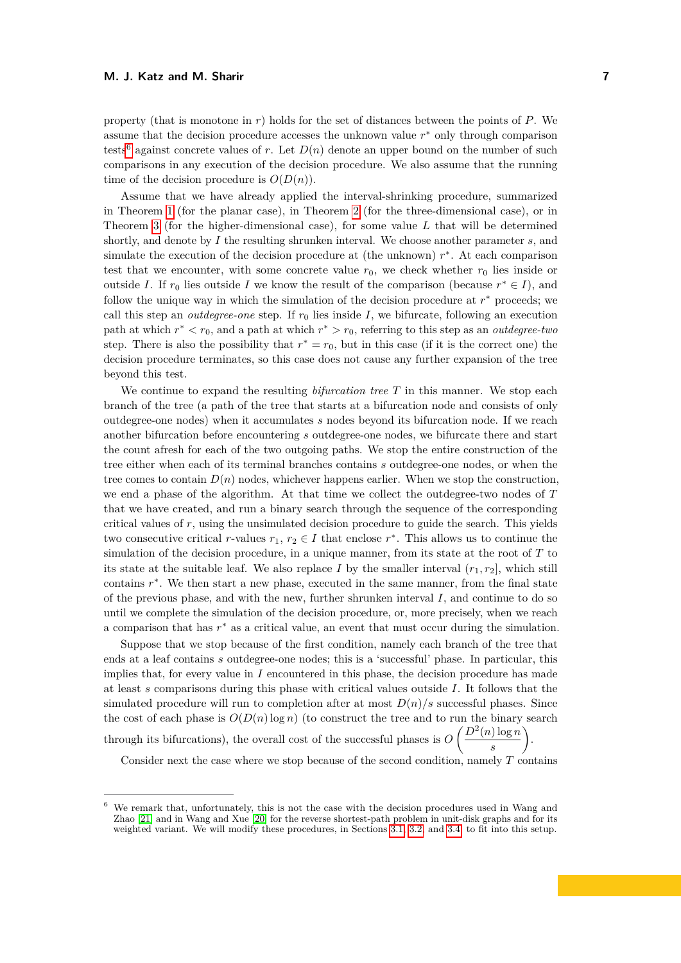property (that is monotone in *r*) holds for the set of distances between the points of *P*. We assume that the decision procedure accesses the unknown value  $r$ <sup>\*</sup> only through comparison tests<sup>[6](#page-7-0)</sup> against concrete values of *r*. Let  $D(n)$  denote an upper bound on the number of such comparisons in any execution of the decision procedure. We also assume that the running time of the decision procedure is  $O(D(n))$ .

Assume that we have already applied the interval-shrinking procedure, summarized in Theorem [1](#page-3-0) (for the planar case), in Theorem [2](#page-5-0) (for the three-dimensional case), or in Theorem [3](#page-6-0) (for the higher-dimensional case), for some value *L* that will be determined shortly, and denote by *I* the resulting shrunken interval. We choose another parameter *s*, and simulate the execution of the decision procedure at (the unknown)  $r$ <sup>\*</sup>. At each comparison test that we encounter, with some concrete value  $r_0$ , we check whether  $r_0$  lies inside or outside *I*. If  $r_0$  lies outside *I* we know the result of the comparison (because  $r^* \in I$ ), and follow the unique way in which the simulation of the decision procedure at  $r$ <sup>\*</sup> proceeds; we call this step an *outdegree-one* step. If  $r_0$  lies inside *I*, we bifurcate, following an execution path at which  $r^* < r_0$ , and a path at which  $r^* > r_0$ , referring to this step as an *outdegree-two* step. There is also the possibility that  $r^* = r_0$ , but in this case (if it is the correct one) the decision procedure terminates, so this case does not cause any further expansion of the tree beyond this test.

We continue to expand the resulting *bifurcation tree T* in this manner. We stop each branch of the tree (a path of the tree that starts at a bifurcation node and consists of only outdegree-one nodes) when it accumulates *s* nodes beyond its bifurcation node. If we reach another bifurcation before encountering *s* outdegree-one nodes, we bifurcate there and start the count afresh for each of the two outgoing paths. We stop the entire construction of the tree either when each of its terminal branches contains *s* outdegree-one nodes, or when the tree comes to contain  $D(n)$  nodes, whichever happens earlier. When we stop the construction, we end a phase of the algorithm. At that time we collect the outdegree-two nodes of *T* that we have created, and run a binary search through the sequence of the corresponding critical values of *r*, using the unsimulated decision procedure to guide the search. This yields two consecutive critical *r*-values  $r_1, r_2 \in I$  that enclose  $r^*$ . This allows us to continue the simulation of the decision procedure, in a unique manner, from its state at the root of *T* to its state at the suitable leaf. We also replace *I* by the smaller interval  $(r_1, r_2]$ , which still contains  $r^*$ . We then start a new phase, executed in the same manner, from the final state of the previous phase, and with the new, further shrunken interval *I*, and continue to do so until we complete the simulation of the decision procedure, or, more precisely, when we reach a comparison that has  $r^*$  as a critical value, an event that must occur during the simulation.

Suppose that we stop because of the first condition, namely each branch of the tree that ends at a leaf contains *s* outdegree-one nodes; this is a 'successful' phase. In particular, this implies that, for every value in *I* encountered in this phase, the decision procedure has made at least *s* comparisons during this phase with critical values outside *I*. It follows that the simulated procedure will run to completion after at most  $D(n)/s$  successful phases. Since the cost of each phase is  $O(D(n)\log n)$  (to construct the tree and to run the binary search through its bifurcations), the overall cost of the successful phases is  $O\left(\frac{D^2(n)\log n}{n}\right)$ *s*  $\setminus$ .

Consider next the case where we stop because of the second condition, namely *T* contains

<span id="page-7-0"></span><sup>6</sup> We remark that, unfortunately, this is not the case with the decision procedures used in Wang and Zhao [\[21\]](#page-19-0) and in Wang and Xue [\[20\]](#page-19-1) for the reverse shortest-path problem in unit-disk graphs and for its weighted variant. We will modify these procedures, in Sections [3.1,](#page-9-0) [3.2,](#page-10-0) and [3.4,](#page-11-0) to fit into this setup.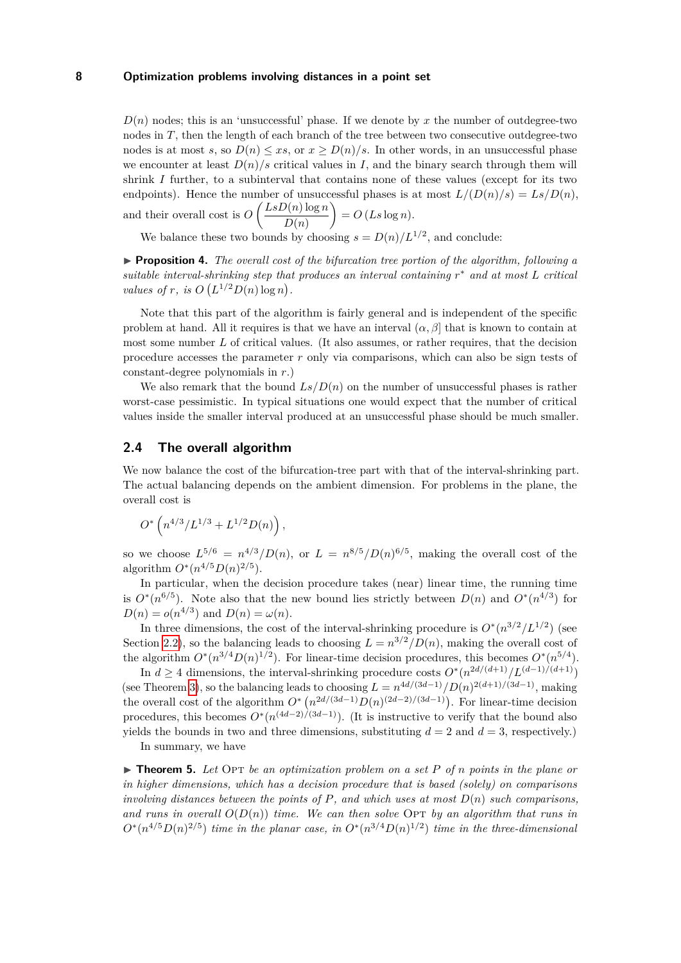$D(n)$  nodes; this is an 'unsuccessful' phase. If we denote by x the number of outdegree-two nodes in T, then the length of each branch of the tree between two consecutive outdegree-two nodes is at most *s*, so  $D(n) \le xs$ , or  $x > D(n)/s$ . In other words, in an unsuccessful phase we encounter at least  $D(n)/s$  critical values in *I*, and the binary search through them will shrink *I* further, to a subinterval that contains none of these values (except for its two endpoints). Hence the number of unsuccessful phases is at most  $L/(D(n)/s) = Ls/D(n)$ , and their overall cost is  $O\left(\frac{LsD(n)\log n}{D(n)}\right)$ *D*(*n*)  $= O(Ls \log n).$ 

We balance these two bounds by choosing  $s = D(n)/L^{1/2}$ , and conclude:

<span id="page-8-0"></span>▶ **Proposition 4.** *The overall cost of the bifurcation tree portion of the algorithm, following a suitable interval-shrinking step that produces an interval containing r* <sup>∗</sup> *and at most L critical values of r, is*  $O(L^{1/2}D(n)\log n)$ .

Note that this part of the algorithm is fairly general and is independent of the specific problem at hand. All it requires is that we have an interval  $(\alpha, \beta]$  that is known to contain at most some number *L* of critical values. (It also assumes, or rather requires, that the decision procedure accesses the parameter *r* only via comparisons, which can also be sign tests of constant-degree polynomials in *r*.)

We also remark that the bound  $Ls/D(n)$  on the number of unsuccessful phases is rather worst-case pessimistic. In typical situations one would expect that the number of critical values inside the smaller interval produced at an unsuccessful phase should be much smaller.

# **2.4 The overall algorithm**

We now balance the cost of the bifurcation-tree part with that of the interval-shrinking part. The actual balancing depends on the ambient dimension. For problems in the plane, the overall cost is

$$
O^*\left(n^{4/3}/L^{1/3} + L^{1/2}D(n)\right),\,
$$

so we choose  $L^{5/6} = n^{4/3}/D(n)$ , or  $L = n^{8/5}/D(n)^{6/5}$ , making the overall cost of the algorithm  $O^*(n^{4/5}D(n)^{2/5})$ .

In particular, when the decision procedure takes (near) linear time, the running time is  $O^*(n^{6/5})$ . Note also that the new bound lies strictly between  $D(n)$  and  $O^*(n^{4/3})$  for  $D(n) = o(n^{4/3})$  and  $D(n) = \omega(n)$ .

In three dimensions, the cost of the interval-shrinking procedure is  $O^*(n^{3/2}/L^{1/2})$  (see Section [2.2\)](#page-3-2), so the balancing leads to choosing  $L = n^{3/2}/D(n)$ , making the overall cost of the algorithm  $O^*(n^{3/4}D(n)^{1/2})$ . For linear-time decision procedures, this becomes  $O^*(n^{5/4})$ .

In *d* ≥ 4 dimensions, the interval-shrinking procedure costs  $O^*(n^{2d/(d+1)}/L^{(d-1)/(d+1)})$ (see Theorem [3\)](#page-6-0), so the balancing leads to choosing  $L = n^{4d/(3d-1)}/D(n)^{2(d+1)/(3d-1)}$ , making the overall cost of the algorithm  $O^*$   $\left(n^{2d/(3d-1)}D(n)^{(2d-2)/(3d-1)}\right)$ . For linear-time decision procedures, this becomes  $O^*(n^{(4d-2)/(3d-1)})$ . (It is instructive to verify that the bound also yields the bounds in two and three dimensions, substituting  $d = 2$  and  $d = 3$ , respectively.)

In summary, we have

<span id="page-8-1"></span> $\triangleright$  **Theorem 5.** Let Opt be an optimization problem on a set P of *n* points in the plane or *in higher dimensions, which has a decision procedure that is based (solely) on comparisons involving distances between the points of*  $P$ *, and which uses at most*  $D(n)$  *such comparisons,* and runs in overall  $O(D(n))$  time. We can then solve Opt by an algorithm that runs in  $O^*(n^{4/5}D(n)^{2/5})$  *time in the planar case, in*  $O^*(n^{3/4}D(n)^{1/2})$  *time in the three-dimensional*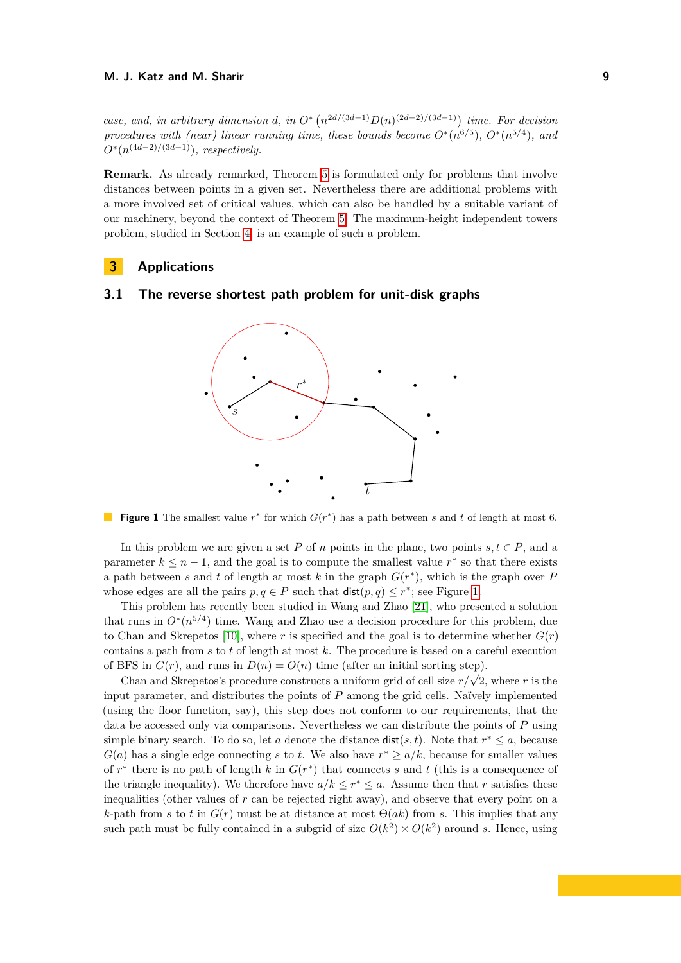*case, and, in arbitrary dimension d, in*  $O^*$   $(n^{2d/(3d-1)}D(n)^{(2d-2)/(3d-1)})$  *time. For decision procedures with (near) linear running time, these bounds become*  $O^*(n^{6/5})$ *,*  $O^*(n^{5/4})$ *, and*  $O^*(n^{(4d-2)/(3d-1)})$ *, respectively.* 

**Remark.** As already remarked, Theorem [5](#page-8-1) is formulated only for problems that involve distances between points in a given set. Nevertheless there are additional problems with a more involved set of critical values, which can also be handled by a suitable variant of our machinery, beyond the context of Theorem [5.](#page-8-1) The maximum-height independent towers problem, studied in Section [4,](#page-13-0) is an example of such a problem.

# **3 Applications**

# <span id="page-9-1"></span><span id="page-9-0"></span>**3.1 The reverse shortest path problem for unit-disk graphs**



**Figure 1** The smallest value  $r^*$  for which  $G(r^*)$  has a path between *s* and *t* of length at most 6.

In this problem we are given a set *P* of *n* points in the plane, two points  $s, t \in P$ , and a parameter  $k \leq n-1$ , and the goal is to compute the smallest value  $r^*$  so that there exists a path between *s* and *t* of length at most *k* in the graph  $G(r^*)$ , which is the graph over *P* whose edges are all the pairs  $p, q \in P$  such that  $dist(p, q) \leq r^*$ ; see Figure [1.](#page-9-1)

This problem has recently been studied in Wang and Zhao [\[21\]](#page-19-0), who presented a solution that runs in  $O^*(n^{5/4})$  time. Wang and Zhao use a decision procedure for this problem, due to Chan and Skrepetos [\[10\]](#page-18-11), where *r* is specified and the goal is to determine whether  $G(r)$ contains a path from *s* to *t* of length at most *k*. The procedure is based on a careful execution of BFS in  $G(r)$ , and runs in  $D(n) = O(n)$  time (after an initial sorting step).

Chan and Skrepetos's procedure constructs a uniform grid of cell size  $r/\sqrt{2}$ , where *r* is the input parameter, and distributes the points of *P* among the grid cells. Naïvely implemented (using the floor function, say), this step does not conform to our requirements, that the data be accessed only via comparisons. Nevertheless we can distribute the points of *P* using simple binary search. To do so, let *a* denote the distance  $dist(s, t)$ . Note that  $r^* \leq a$ , because  $G(a)$  has a single edge connecting *s* to *t*. We also have  $r^* \ge a/k$ , because for smaller values of  $r^*$  there is no path of length  $k$  in  $G(r^*)$  that connects  $s$  and  $t$  (this is a consequence of the triangle inequality). We therefore have  $a/k \leq r^* \leq a$ . Assume then that *r* satisfies these inequalities (other values of  $r$  can be rejected right away), and observe that every point on a *k*-path from *s* to *t* in  $G(r)$  must be at distance at most  $\Theta(ak)$  from *s*. This implies that any such path must be fully contained in a subgrid of size  $O(k^2) \times O(k^2)$  around *s*. Hence, using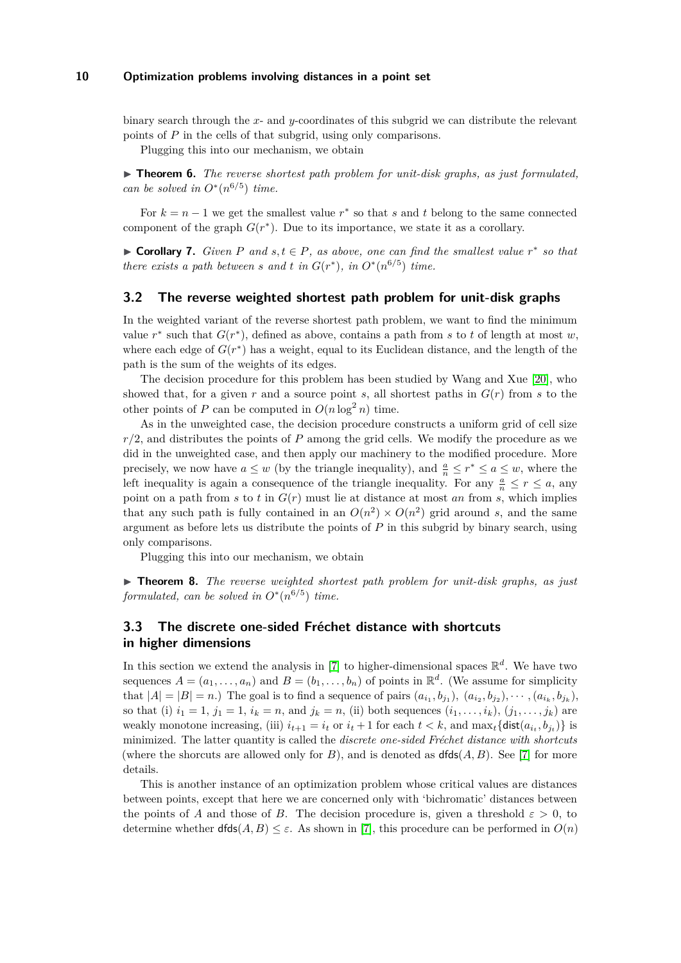binary search through the *x*- and *y*-coordinates of this subgrid we can distribute the relevant points of *P* in the cells of that subgrid, using only comparisons.

Plugging this into our mechanism, we obtain

▶ **Theorem 6.** *The reverse shortest path problem for unit-disk graphs, as just formulated, can be solved in*  $O^*(n^{6/5})$  *time.* 

For  $k = n - 1$  we get the smallest value  $r^*$  so that *s* and *t* belong to the same connected component of the graph  $G(r^*)$ . Due to its importance, we state it as a corollary.

▶ **Corollary 7.** *Given*  $P$  *and*  $s, t \in P$ *, as above, one can find the smallest value*  $r^*$  *so that there exists a path between s* and *t* in  $G(r^*)$ , in  $O^*(n^{6/5})$  time.

## <span id="page-10-0"></span>**3.2 The reverse weighted shortest path problem for unit-disk graphs**

In the weighted variant of the reverse shortest path problem, we want to find the minimum value  $r^*$  such that  $G(r^*)$ , defined as above, contains a path from *s* to *t* of length at most *w*, where each edge of  $G(r^*)$  has a weight, equal to its Euclidean distance, and the length of the path is the sum of the weights of its edges.

The decision procedure for this problem has been studied by Wang and Xue [\[20\]](#page-19-1), who showed that, for a given  $r$  and a source point  $s$ , all shortest paths in  $G(r)$  from  $s$  to the other points of *P* can be computed in  $O(n \log^2 n)$  time.

As in the unweighted case, the decision procedure constructs a uniform grid of cell size *r/*2, and distributes the points of *P* among the grid cells. We modify the procedure as we did in the unweighted case, and then apply our machinery to the modified procedure. More precisely, we now have  $a \leq w$  (by the triangle inequality), and  $\frac{a}{n} \leq r^* \leq a \leq w$ , where the left inequality is again a consequence of the triangle inequality. For any  $\frac{a}{n} \leq r \leq a$ , any point on a path from  $s$  to  $t$  in  $G(r)$  must lie at distance at most  $an$  from  $s$ , which implies that any such path is fully contained in an  $O(n^2) \times O(n^2)$  grid around *s*, and the same argument as before lets us distribute the points of *P* in this subgrid by binary search, using only comparisons.

Plugging this into our mechanism, we obtain

▶ **Theorem 8.** *The reverse weighted shortest path problem for unit-disk graphs, as just formulated, can be solved in*  $O^*(n^{6/5})$  *time.* 

# <span id="page-10-1"></span>**3.3 The discrete one-sided Fréchet distance with shortcuts in higher dimensions**

In this section we extend the analysis in [\[7\]](#page-18-0) to higher-dimensional spaces  $\mathbb{R}^d$ . We have two sequences  $A = (a_1, \ldots, a_n)$  and  $B = (b_1, \ldots, b_n)$  of points in  $\mathbb{R}^d$ . (We assume for simplicity that  $|A| = |B| = n$ .) The goal is to find a sequence of pairs  $(a_{i_1}, b_{j_1}), (a_{i_2}, b_{j_2}), \cdots, (a_{i_k}, b_{j_k}),$ so that (i)  $i_1 = 1$ ,  $j_1 = 1$ ,  $i_k = n$ , and  $j_k = n$ , (ii) both sequences  $(i_1, \ldots, i_k)$ ,  $(j_1, \ldots, j_k)$  are weakly monotone increasing, (iii)  $i_{t+1} = i_t$  or  $i_t + 1$  for each  $t < k$ , and  $\max_t {\text{dist}(a_{i_t}, b_{j_t})}$  is minimized. The latter quantity is called the *discrete one-sided Fréchet distance with shortcuts* (where the shorcuts are allowed only for  $B$ ), and is denoted as  $dfds(A, B)$ . See [\[7\]](#page-18-0) for more details.

This is another instance of an optimization problem whose critical values are distances between points, except that here we are concerned only with 'bichromatic' distances between the points of *A* and those of *B*. The decision procedure is, given a threshold  $\varepsilon > 0$ , to determine whether  $dfds(A, B) \leq \varepsilon$ . As shown in [\[7\]](#page-18-0), this procedure can be performed in  $O(n)$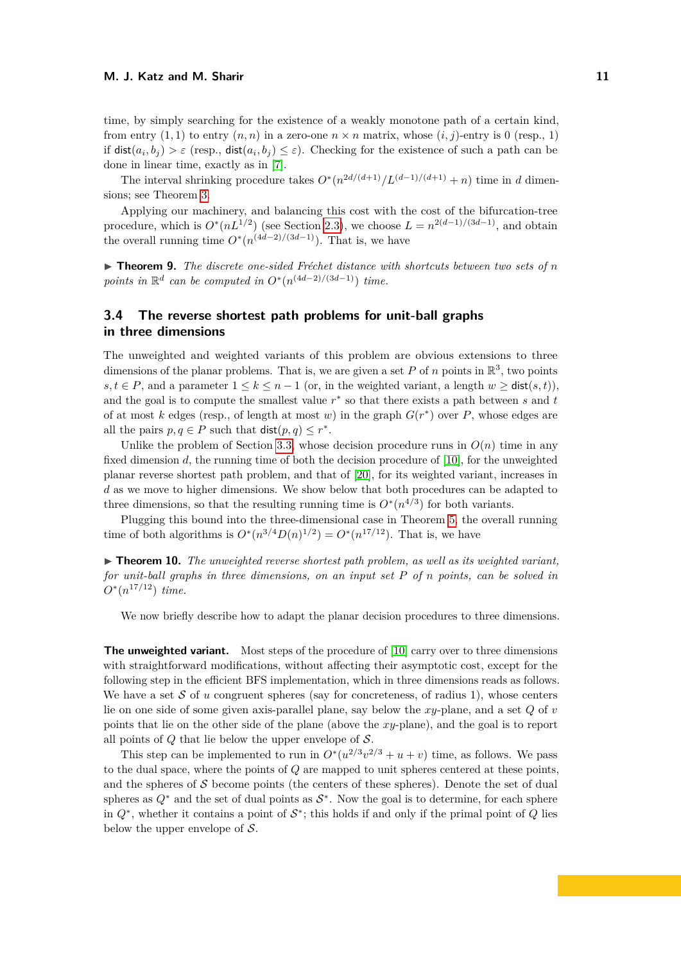time, by simply searching for the existence of a weakly monotone path of a certain kind, from entry  $(1,1)$  to entry  $(n, n)$  in a zero-one  $n \times n$  matrix, whose  $(i, j)$ -entry is 0 (resp., 1) if  $dist(a_i, b_j) > \varepsilon$  (resp.,  $dist(a_i, b_j) \leq \varepsilon$ ). Checking for the existence of such a path can be done in linear time, exactly as in [\[7\]](#page-18-0).

The interval shrinking procedure takes  $O^*(n^{2d/(d+1)}/L^{(d-1)/(d+1)} + n)$  time in *d* dimensions; see Theorem [3.](#page-6-0)

Applying our machinery, and balancing this cost with the cost of the bifurcation-tree procedure, which is  $O^*(nL^{1/2})$  (see Section [2.3\)](#page-6-1), we choose  $L = n^{2(d-1)/(3d-1)}$ , and obtain the overall running time  $O^*(n^{(4d-2)/(3d-1)})$ . That is, we have

▶ **Theorem 9.** *The discrete one-sided Fréchet distance with shortcuts between two sets of n points in*  $\mathbb{R}^d$  *can be computed in*  $O^*(n^{(4d-2)/(3d-1)})$  *time.* 

# <span id="page-11-0"></span>**3.4 The reverse shortest path problems for unit-ball graphs in three dimensions**

The unweighted and weighted variants of this problem are obvious extensions to three dimensions of the planar problems. That is, we are given a set  $P$  of  $n$  points in  $\mathbb{R}^3$ , two points *s, t* ∈ *P*, and a parameter  $1 \le k \le n-1$  (or, in the weighted variant, a length  $w > \text{dist}(s, t)$ ), and the goal is to compute the smallest value *r* ∗ so that there exists a path between *s* and *t* of at most *k* edges (resp., of length at most *w*) in the graph  $G(r^*)$  over *P*, whose edges are all the pairs  $p, q \in P$  such that  $\textsf{dist}(p, q) \leq r^*$ .

Unlike the problem of Section [3.3,](#page-10-1) whose decision procedure runs in  $O(n)$  time in any fixed dimension *d*, the running time of both the decision procedure of [\[10\]](#page-18-11), for the unweighted planar reverse shortest path problem, and that of [\[20\]](#page-19-1), for its weighted variant, increases in *d* as we move to higher dimensions. We show below that both procedures can be adapted to three dimensions, so that the resulting running time is  $O^*(n^{4/3})$  for both variants.

Plugging this bound into the three-dimensional case in Theorem [5,](#page-8-1) the overall running time of both algorithms is  $O^*(n^{3/4}D(n)^{1/2}) = O^*(n^{17/12})$ . That is, we have

 $\triangleright$  **Theorem 10.** The unweighted reverse shortest path problem, as well as its weighted variant, *for unit-ball graphs in three dimensions, on an input set P of n points, can be solved in*  $O^*(n^{17/12})$  *time.* 

We now briefly describe how to adapt the planar decision procedures to three dimensions.

**The unweighted variant.** Most steps of the procedure of [\[10\]](#page-18-11) carry over to three dimensions with straightforward modifications, without affecting their asymptotic cost, except for the following step in the efficient BFS implementation, which in three dimensions reads as follows. We have a set  $S$  of  $u$  congruent spheres (say for concreteness, of radius 1), whose centers lie on one side of some given axis-parallel plane, say below the *xy*-plane, and a set *Q* of *v* points that lie on the other side of the plane (above the *xy*-plane), and the goal is to report all points of *Q* that lie below the upper envelope of S.

This step can be implemented to run in  $O^*(u^{2/3}v^{2/3} + u + v)$  time, as follows. We pass to the dual space, where the points of *Q* are mapped to unit spheres centered at these points, and the spheres of  $S$  become points (the centers of these spheres). Denote the set of dual spheres as  $Q^*$  and the set of dual points as  $S^*$ . Now the goal is to determine, for each sphere in  $Q^*$ , whether it contains a point of  $S^*$ ; this holds if and only if the primal point of  $Q$  lies below the upper envelope of  $S$ .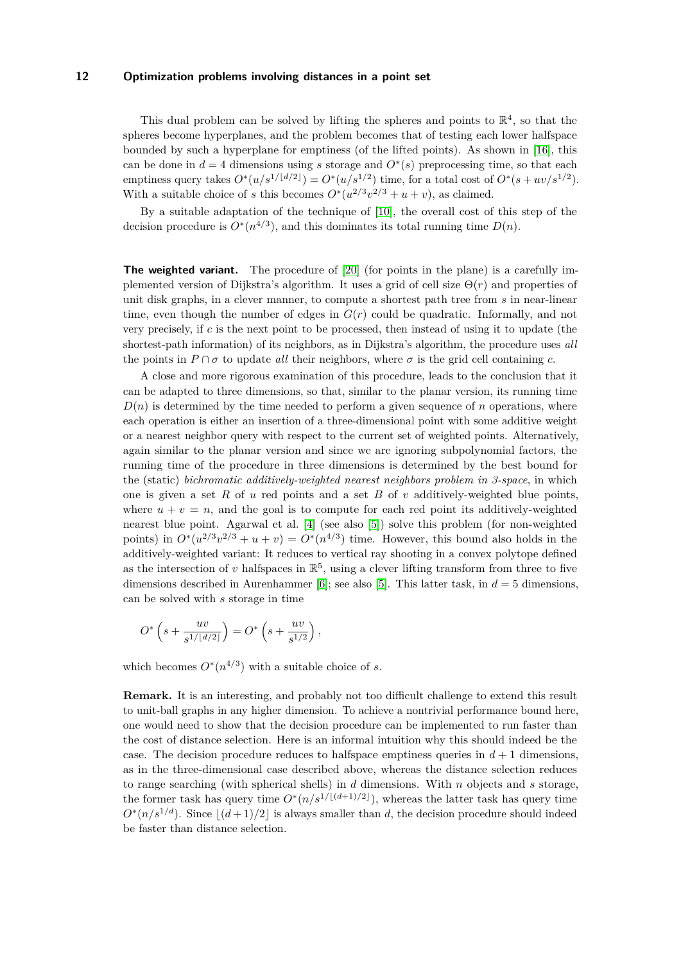This dual problem can be solved by lifting the spheres and points to  $\mathbb{R}^4$ , so that the spheres become hyperplanes, and the problem becomes that of testing each lower halfspace bounded by such a hyperplane for emptiness (of the lifted points). As shown in [\[16\]](#page-19-4), this can be done in  $d = 4$  dimensions using *s* storage and  $O<sup>*</sup>(s)$  preprocessing time, so that each emptiness query takes  $O^*(u/s^{1/\lfloor d/2 \rfloor}) = O^*(u/s^{1/2})$  time, for a total cost of  $O^*(s+uv/s^{1/2})$ . With a suitable choice of *s* this becomes  $O^*(u^{2/3}v^{2/3} + u + v)$ , as claimed.

By a suitable adaptation of the technique of [\[10\]](#page-18-11), the overall cost of this step of the decision procedure is  $O^*(n^{4/3})$ , and this dominates its total running time  $D(n)$ .

**The weighted variant.** The procedure of [\[20\]](#page-19-1) (for points in the plane) is a carefully implemented version of Dijkstra's algorithm. It uses a grid of cell size  $\Theta(r)$  and properties of unit disk graphs, in a clever manner, to compute a shortest path tree from *s* in near-linear time, even though the number of edges in *G*(*r*) could be quadratic. Informally, and not very precisely, if *c* is the next point to be processed, then instead of using it to update (the shortest-path information) of its neighbors, as in Dijkstra's algorithm, the procedure uses *all* the points in  $P \cap \sigma$  to update *all* their neighbors, where  $\sigma$  is the grid cell containing *c*.

A close and more rigorous examination of this procedure, leads to the conclusion that it can be adapted to three dimensions, so that, similar to the planar version, its running time  $D(n)$  is determined by the time needed to perform a given sequence of *n* operations, where each operation is either an insertion of a three-dimensional point with some additive weight or a nearest neighbor query with respect to the current set of weighted points. Alternatively, again similar to the planar version and since we are ignoring subpolynomial factors, the running time of the procedure in three dimensions is determined by the best bound for the (static) *bichromatic additively-weighted nearest neighbors problem in 3-space*, in which one is given a set *R* of *u* red points and a set *B* of *v* additively-weighted blue points, where  $u + v = n$ , and the goal is to compute for each red point its additively-weighted nearest blue point. Agarwal et al. [\[4\]](#page-18-12) (see also [\[5\]](#page-18-13)) solve this problem (for non-weighted points) in  $O^*(u^{2/3}v^{2/3} + u + v) = O^*(n^{4/3})$  time. However, this bound also holds in the additively-weighted variant: It reduces to vertical ray shooting in a convex polytope defined as the intersection of *v* halfspaces in  $\mathbb{R}^5$ , using a clever lifting transform from three to five dimensions described in Aurenhammer [\[6\]](#page-18-14); see also [\[5\]](#page-18-13). This latter task, in  $d = 5$  dimensions, can be solved with *s* storage in time

$$
O^* \left( s + \frac{uv}{s^{1/\lfloor d/2 \rfloor}} \right) = O^* \left( s + \frac{uv}{s^{1/2}} \right),
$$

which becomes  $O^*(n^{4/3})$  with a suitable choice of *s*.

**Remark.** It is an interesting, and probably not too difficult challenge to extend this result to unit-ball graphs in any higher dimension. To achieve a nontrivial performance bound here, one would need to show that the decision procedure can be implemented to run faster than the cost of distance selection. Here is an informal intuition why this should indeed be the case. The decision procedure reduces to halfspace emptiness queries in  $d+1$  dimensions, as in the three-dimensional case described above, whereas the distance selection reduces to range searching (with spherical shells) in *d* dimensions. With *n* objects and *s* storage, the former task has query time  $O^*(n/s^{1/\lfloor (d+1)/2 \rfloor})$ , whereas the latter task has query time  $O^*(n/s^{1/d})$ . Since  $\lfloor (d+1)/2 \rfloor$  is always smaller than *d*, the decision procedure should indeed be faster than distance selection.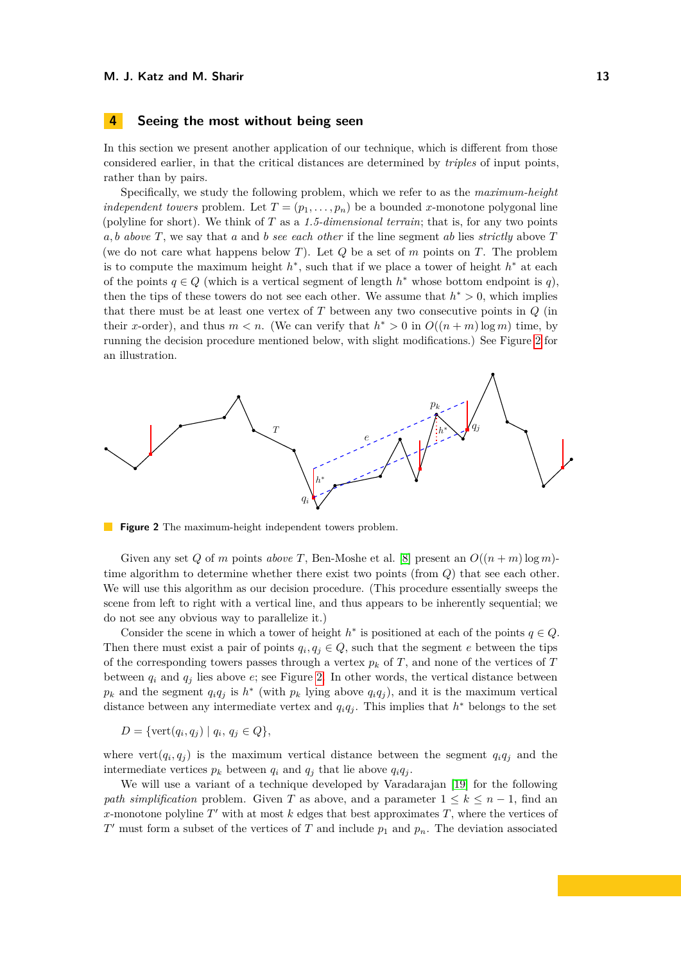## <span id="page-13-0"></span>**4 Seeing the most without being seen**

In this section we present another application of our technique, which is different from those considered earlier, in that the critical distances are determined by *triples* of input points, rather than by pairs.

Specifically, we study the following problem, which we refer to as the *maximum-height independent towers* problem. Let  $T = (p_1, \ldots, p_n)$  be a bounded *x*-monotone polygonal line (polyline for short). We think of *T* as a *1.5-dimensional terrain*; that is, for any two points *a, b above T*, we say that *a* and *b see each other* if the line segment *ab* lies *strictly* above *T* (we do not care what happens below *T*). Let *Q* be a set of *m* points on *T*. The problem is to compute the maximum height  $h^*$ , such that if we place a tower of height  $h^*$  at each of the points  $q \in Q$  (which is a vertical segment of length  $h^*$  whose bottom endpoint is  $q$ ), then the tips of these towers do not see each other. We assume that  $h^* > 0$ , which implies that there must be at least one vertex of *T* between any two consecutive points in *Q* (in their *x*-order), and thus  $m < n$ . (We can verify that  $h^* > 0$  in  $O((n+m)\log m)$  time, by running the decision procedure mentioned below, with slight modifications.) See Figure [2](#page-13-1) for an illustration.

<span id="page-13-1"></span>

**Figure 2** The maximum-height independent towers problem.

Given any set *Q* of *m* points *above T*, Ben-Moshe et al. [\[8\]](#page-18-4) present an  $O((n+m)\log m)$ time algorithm to determine whether there exist two points (from *Q*) that see each other. We will use this algorithm as our decision procedure. (This procedure essentially sweeps the scene from left to right with a vertical line, and thus appears to be inherently sequential; we do not see any obvious way to parallelize it.)

Consider the scene in which a tower of height  $h^*$  is positioned at each of the points  $q \in Q$ . Then there must exist a pair of points  $q_i, q_j \in Q$ , such that the segment *e* between the tips of the corresponding towers passes through a vertex  $p_k$  of  $T$ , and none of the vertices of  $T$ between  $q_i$  and  $q_j$  lies above  $e$ ; see Figure [2.](#page-13-1) In other words, the vertical distance between  $p_k$  and the segment  $q_i q_j$  is  $h^*$  (with  $p_k$  lying above  $q_i q_j$ ), and it is the maximum vertical distance between any intermediate vertex and  $q_i q_j$ . This implies that  $h^*$  belongs to the set

$$
D = \{ \text{vert}(q_i, q_j) \mid q_i, q_j \in Q \},
$$

where vert $(q_i, q_j)$  is the maximum vertical distance between the segment  $q_i q_j$  and the intermediate vertices  $p_k$  between  $q_i$  and  $q_j$  that lie above  $q_iq_j$ .

We will use a variant of a technique developed by Varadarajan [\[19\]](#page-19-5) for the following *path simplification* problem. Given *T* as above, and a parameter  $1 \leq k \leq n-1$ , find an *x*-monotone polyline  $T'$  with at most  $k$  edges that best approximates  $T$ , where the vertices of  $T'$  must form a subset of the vertices of  $T$  and include  $p_1$  and  $p_n$ . The deviation associated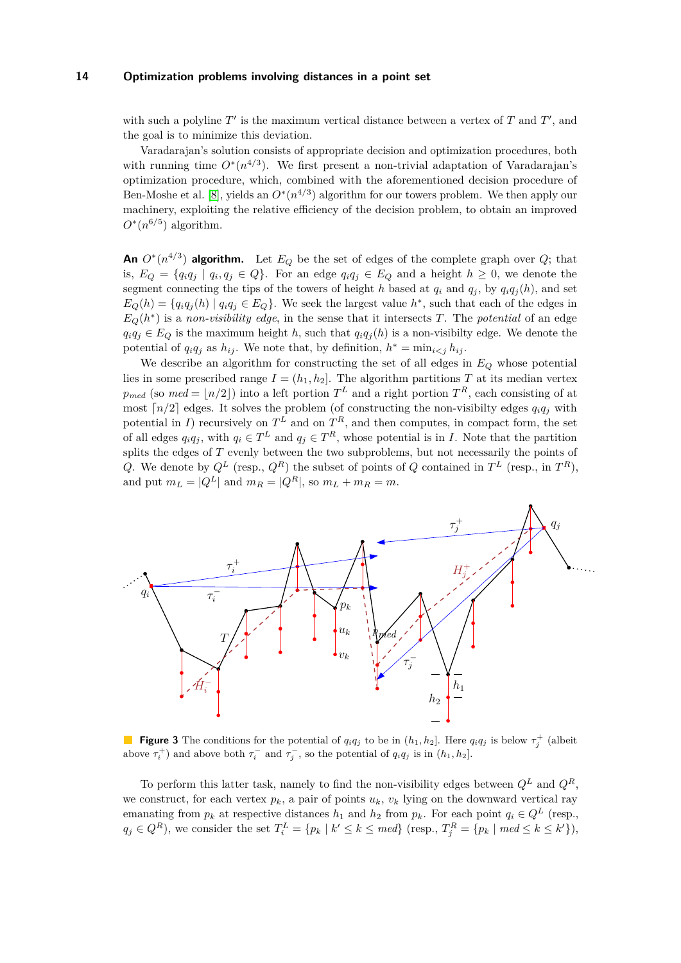with such a polyline  $T'$  is the maximum vertical distance between a vertex of  $T$  and  $T'$ , and the goal is to minimize this deviation.

Varadarajan's solution consists of appropriate decision and optimization procedures, both with running time  $O^*(n^{4/3})$ . We first present a non-trivial adaptation of Varadarajan's optimization procedure, which, combined with the aforementioned decision procedure of Ben-Moshe et al. [\[8\]](#page-18-4), yields an  $O^*(n^{4/3})$  algorithm for our towers problem. We then apply our machinery, exploiting the relative efficiency of the decision problem, to obtain an improved  $O^*(n^{6/5})$  algorithm.

**An**  $O^*(n^{4/3})$  **algorithm.** Let  $E_Q$  be the set of edges of the complete graph over  $Q$ ; that is,  $E_Q = \{q_i q_j \mid q_i, q_j \in Q\}$ . For an edge  $q_i q_j \in E_Q$  and a height  $h \geq 0$ , we denote the segment connecting the tips of the towers of height *h* based at  $q_i$  and  $q_j$ , by  $q_i q_j(h)$ , and set  $E_Q(h) = \{q_i q_j(h) \mid q_i q_j \in E_Q\}$ . We seek the largest value  $h^*$ , such that each of the edges in  $E_Q(h^*)$  is a *non-visibility edge*, in the sense that it intersects *T*. The *potential* of an edge  $q_i q_j \in E_Q$  is the maximum height *h*, such that  $q_i q_j(h)$  is a non-visibilty edge. We denote the potential of  $q_i q_j$  as  $h_{ij}$ . We note that, by definition,  $h^* = \min_{i \leq j} h_{ij}$ .

We describe an algorithm for constructing the set of all edges in *E<sup>Q</sup>* whose potential lies in some prescribed range  $I = (h_1, h_2]$ . The algorithm partitions *T* at its median vertex  $p_{med}$  (so  $med = \lfloor n/2 \rfloor$ ) into a left portion  $T^L$  and a right portion  $T^R$ , each consisting of at most  $\lceil n/2 \rceil$  edges. It solves the problem (of constructing the non-visibilty edges  $q_i q_j$  with potential in *I*) recursively on  $T^L$  and on  $T^R$ , and then computes, in compact form, the set of all edges  $q_i q_j$ , with  $q_i \in T^L$  and  $q_j \in T^R$ , whose potential is in *I*. Note that the partition splits the edges of *T* evenly between the two subproblems, but not necessarily the points of *Q*. We denote by  $Q^L$  (resp.,  $Q^R$ ) the subset of points of *Q* contained in  $T^L$  (resp., in  $T^R$ ), and put  $m_L = |Q^L|$  and  $m_R = |Q^R|$ , so  $m_L + m_R = m$ .

<span id="page-14-0"></span>

**Figure 3** The conditions for the potential of  $q_iq_j$  to be in  $(h_1, h_2]$ . Here  $q_iq_j$  is below  $\tau_j^+$  (albeit above  $\tau_i^+$ ) and above both  $\tau_i^-$  and  $\tau_j^-$ , so the potential of  $q_i q_j$  is in  $(h_1, h_2]$ .

To perform this latter task, namely to find the non-visibility edges between  $Q^L$  and  $Q^R$ , we construct, for each vertex  $p_k$ , a pair of points  $u_k$ ,  $v_k$  lying on the downward vertical ray emanating from  $p_k$  at respective distances  $h_1$  and  $h_2$  from  $p_k$ . For each point  $q_i \in Q^L$  (resp.,  $q_j \in Q^R$ ), we consider the set  $T_i^L = \{p_k \mid k' \leq k \leq \text{med}\}$  (resp.,  $T_j^R = \{p_k \mid \text{med} \leq k \leq k'\}\)$ ,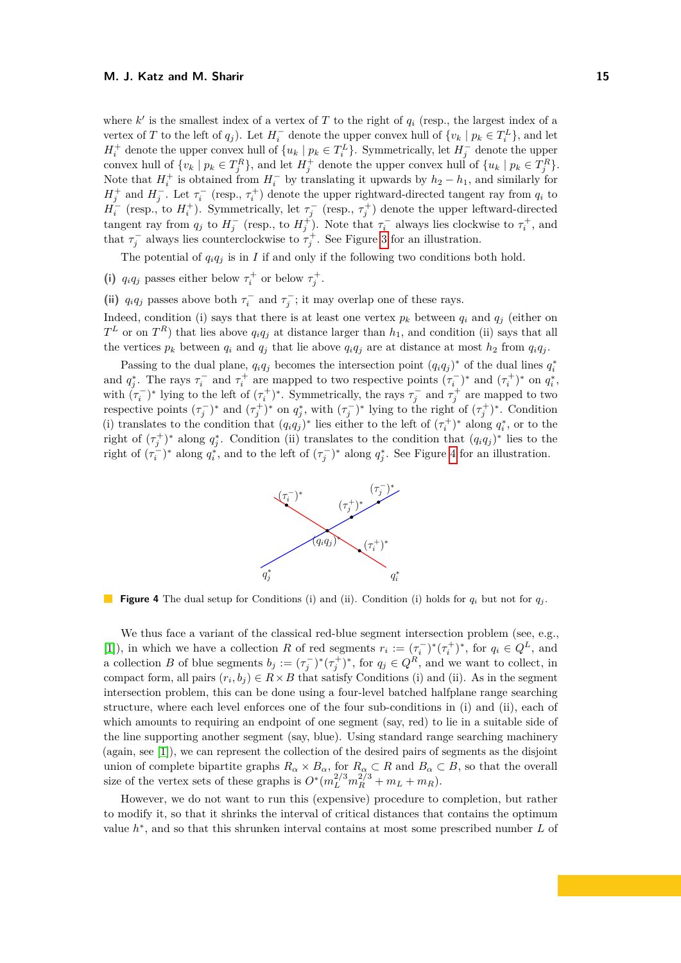where  $k'$  is the smallest index of a vertex of  $T$  to the right of  $q_i$  (resp., the largest index of a vertex of *T* to the left of  $q_j$ ). Let  $H_i^-$  denote the upper convex hull of  $\{v_k \mid p_k \in T_i^L\}$ , and let  $H_i^+$  denote the upper convex hull of  $\{u_k \mid p_k \in T_i^L\}$ . Symmetrically, let  $H_j^-$  denote the upper convex hull of  $\{v_k \mid p_k \in T_j^R\}$ , and let  $H_j^+$  denote the upper convex hull of  $\{u_k \mid p_k \in T_j^R\}$ . Note that  $H_i^+$  is obtained from  $H_i^-$  by translating it upwards by  $h_2 - h_1$ , and similarly for  $H_j^+$  and  $H_j^-$ . Let  $\tau_i^-$  (resp.,  $\tau_i^+$ ) denote the upper rightward-directed tangent ray from  $q_i$  to  $H_i^-$  (resp., to  $H_i^+$ ). Symmetrically, let  $\tau_j^-$  (resp.,  $\tau_j^+$ ) denote the upper leftward-directed tangent ray from  $q_j$  to  $H_j^-$  (resp., to  $H_j^+$ ). Note that  $\tau_i^-$  always lies clockwise to  $\tau_i^+$ , and that  $\tau_j^-$  always lies counterclockwise to  $\tau_j^+$ . See Figure [3](#page-14-0) for an illustration.

The potential of  $q_i q_j$  is in *I* if and only if the following two conditions both hold.

(i)  $q_i q_j$  passes either below  $\tau_i^+$  or below  $\tau_j^+$ .

(ii)  $q_i q_j$  passes above both  $\tau_i^-$  and  $\tau_j^-$ ; it may overlap one of these rays.

Indeed, condition (i) says that there is at least one vertex  $p_k$  between  $q_i$  and  $q_j$  (either on  $T<sup>L</sup>$  or on  $T<sup>R</sup>$ ) that lies above  $q_iq_j$  at distance larger than  $h_1$ , and condition (ii) says that all the vertices  $p_k$  between  $q_i$  and  $q_j$  that lie above  $q_i q_j$  are at distance at most  $h_2$  from  $q_i q_j$ .

<span id="page-15-0"></span>Passing to the dual plane,  $q_i q_j$  becomes the intersection point  $(q_i q_j)^*$  of the dual lines  $q_i^*$ and  $q_j^*$ . The rays  $\tau_i^-$  and  $\tau_i^+$  are mapped to two respective points  $(\tau_i^-)^*$  and  $(\tau_i^+)^*$  on  $q_i^*$ , with  $(\tau_i^-)^*$  lying to the left of  $(\tau_i^+)^*$ . Symmetrically, the rays  $\tau_j^-$  and  $\tau_j^+$  are mapped to two respective points  $(\tau_j^-)^*$  and  $(\tau_j^+)^*$  on  $q_j^*$ , with  $(\tau_j^-)^*$  lying to the right of  $(\tau_j^+)^*$ . Condition (i) translates to the condition that  $(q_i q_j)^*$  lies either to the left of  $(\tau_i^+)^*$  along  $q_i^*$ , or to the right of  $(\tau_j^+)^*$  along  $q_j^*$ . Condition (ii) translates to the condition that  $(q_i q_j)^*$  lies to the right of  $(\tau_i^-)^*$  along  $q_i^*$ , and to the left of  $(\tau_j^-)^*$  along  $q_j^*$ . See Figure [4](#page-15-0) for an illustration.



**Figure 4** The dual setup for Conditions (i) and (ii). Condition (i) holds for  $q_i$  but not for  $q_j$ .

We thus face a variant of the classical red-blue segment intersection problem (see, e.g., [\[1\]](#page-18-6)), in which we have a collection *R* of red segments  $r_i := (\tau_i^-)^*(\tau_i^+)^*$ , for  $q_i \in Q^L$ , and a collection *B* of blue segments  $b_j := (\tau_j^-)^*(\tau_j^+)^*$ , for  $q_j \in Q^R$ , and we want to collect, in compact form, all pairs  $(r_i, b_j) \in R \times B$  that satisfy Conditions (i) and (ii). As in the segment intersection problem, this can be done using a four-level batched halfplane range searching structure, where each level enforces one of the four sub-conditions in (i) and (ii), each of which amounts to requiring an endpoint of one segment (say, red) to lie in a suitable side of the line supporting another segment (say, blue). Using standard range searching machinery (again, see [\[1\]](#page-18-6)), we can represent the collection of the desired pairs of segments as the disjoint union of complete bipartite graphs  $R_{\alpha} \times B_{\alpha}$ , for  $R_{\alpha} \subset R$  and  $B_{\alpha} \subset B$ , so that the overall size of the vertex sets of these graphs is  $O^*(m_L^{2/3}m_R^{2/3} + m_L + m_R)$ .

However, we do not want to run this (expensive) procedure to completion, but rather to modify it, so that it shrinks the interval of critical distances that contains the optimum value  $h^*$ , and so that this shrunken interval contains at most some prescribed number  $L$  of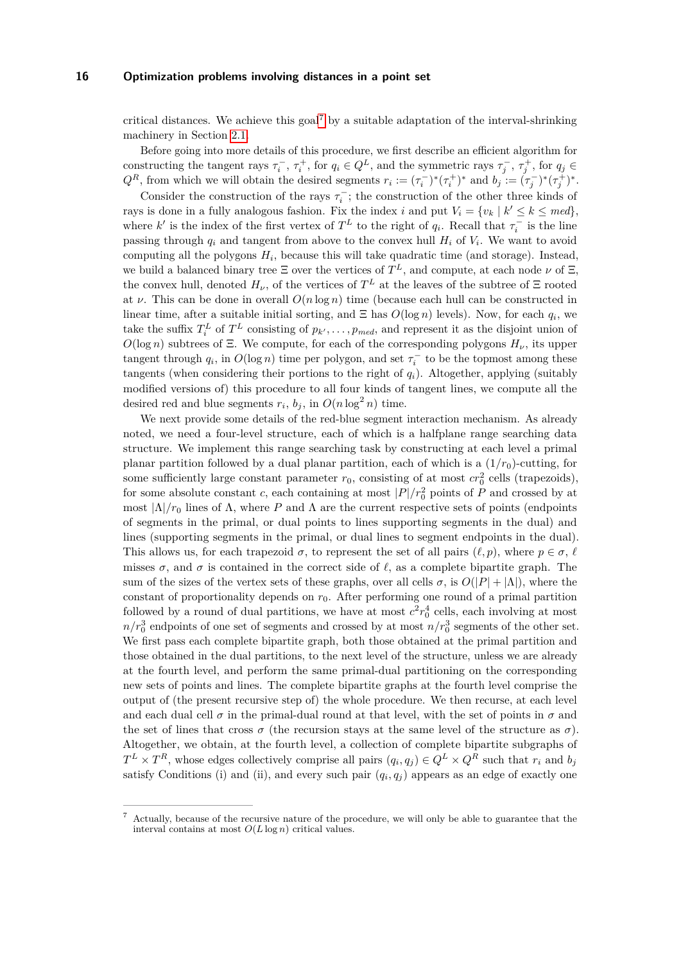critical distances. We achieve this goal<sup>[7](#page-16-0)</sup> by a suitable adaptation of the interval-shrinking machinery in Section [2.1.](#page-3-3)

Before going into more details of this procedure, we first describe an efficient algorithm for constructing the tangent rays  $\tau_i^-$ ,  $\tau_i^+$ , for  $q_i \in Q^L$ , and the symmetric rays  $\tau_j^-$ ,  $\tau_j^+$ , for  $q_j \in$  $Q^R$ , from which we will obtain the desired segments  $r_i := (\tau_i^-)^* (\tau_i^+)^*$  and  $b_j := (\tau_j^-)^* (\tau_j^+)^*$ .

Consider the construction of the rays  $\tau_i^-$ ; the construction of the other three kinds of rays is done in a fully analogous fashion. Fix the index *i* and put  $V_i = \{v_k | k' \leq k \leq \text{med}\}$ , where *k*' is the index of the first vertex of  $T^L$  to the right of  $q_i$ . Recall that  $\tau_i^-$  is the line passing through  $q_i$  and tangent from above to the convex hull  $H_i$  of  $V_i$ . We want to avoid computing all the polygons *H<sup>i</sup>* , because this will take quadratic time (and storage). Instead, we build a balanced binary tree  $\Xi$  over the vertices of  $T^L$ , and compute, at each node  $\nu$  of  $\Xi$ , the convex hull, denoted  $H_{\nu}$ , of the vertices of  $T^L$  at the leaves of the subtree of  $\Xi$  rooted at *ν*. This can be done in overall  $O(n \log n)$  time (because each hull can be constructed in linear time, after a suitable initial sorting, and  $\Xi$  has  $O(\log n)$  levels). Now, for each  $q_i$ , we take the suffix  $T_i^L$  of  $T^L$  consisting of  $p_{k'}, \ldots, p_{med}$ , and represent it as the disjoint union of  $O(\log n)$  subtrees of Ξ. We compute, for each of the corresponding polygons  $H_{\nu}$ , its upper tangent through  $q_i$ , in  $O(\log n)$  time per polygon, and set  $\tau_i^-$  to be the topmost among these tangents (when considering their portions to the right of  $q_i$ ). Altogether, applying (suitably modified versions of) this procedure to all four kinds of tangent lines, we compute all the desired red and blue segments  $r_i$ ,  $b_j$ , in  $O(n \log^2 n)$  time.

We next provide some details of the red-blue segment interaction mechanism. As already noted, we need a four-level structure, each of which is a halfplane range searching data structure. We implement this range searching task by constructing at each level a primal planar partition followed by a dual planar partition, each of which is a  $(1/r_0)$ -cutting, for some sufficiently large constant parameter  $r_0$ , consisting of at most  $cr_0^2$  cells (trapezoids), for some absolute constant *c*, each containing at most  $|P|/r_0^2$  points of *P* and crossed by at most  $|\Lambda|/r_0$  lines of Λ, where *P* and Λ are the current respective sets of points (endpoints of segments in the primal, or dual points to lines supporting segments in the dual) and lines (supporting segments in the primal, or dual lines to segment endpoints in the dual). This allows us, for each trapezoid  $\sigma$ , to represent the set of all pairs  $(\ell, p)$ , where  $p \in \sigma$ ,  $\ell$ misses  $\sigma$ , and  $\sigma$  is contained in the correct side of  $\ell$ , as a complete bipartite graph. The sum of the sizes of the vertex sets of these graphs, over all cells  $\sigma$ , is  $O(|P| + |\Lambda|)$ , where the constant of proportionality depends on  $r_0$ . After performing one round of a primal partition followed by a round of dual partitions, we have at most  $c^2r_0^4$  cells, each involving at most  $n/r_0^3$  endpoints of one set of segments and crossed by at most  $n/r_0^3$  segments of the other set. We first pass each complete bipartite graph, both those obtained at the primal partition and those obtained in the dual partitions, to the next level of the structure, unless we are already at the fourth level, and perform the same primal-dual partitioning on the corresponding new sets of points and lines. The complete bipartite graphs at the fourth level comprise the output of (the present recursive step of) the whole procedure. We then recurse, at each level and each dual cell  $\sigma$  in the primal-dual round at that level, with the set of points in  $\sigma$  and the set of lines that cross  $\sigma$  (the recursion stays at the same level of the structure as  $\sigma$ ). Altogether, we obtain, at the fourth level, a collection of complete bipartite subgraphs of  $T^L \times T^R$ , whose edges collectively comprise all pairs  $(q_i, q_j) \in Q^L \times Q^R$  such that  $r_i$  and  $b_j$ satisfy Conditions (i) and (ii), and every such pair  $(q_i, q_j)$  appears as an edge of exactly one

<span id="page-16-0"></span><sup>7</sup> Actually, because of the recursive nature of the procedure, we will only be able to guarantee that the interval contains at most  $O(L \log n)$  critical values.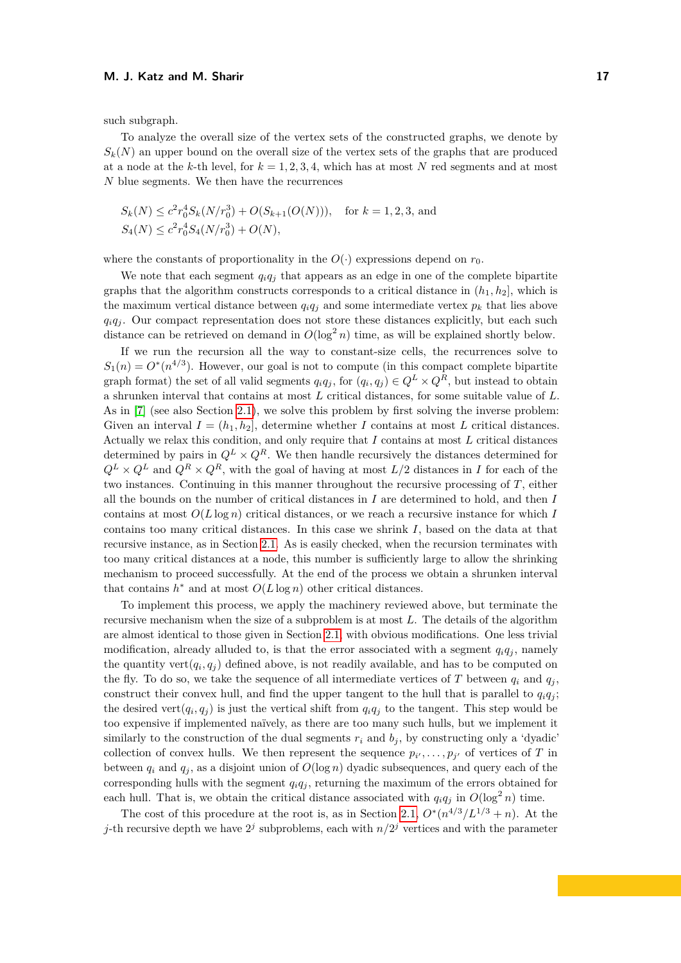#### **M. J. Katz and M. Sharir 17** and 17 and 17 and 17 and 17 and 17 and 17 and 17 and 17 and 17 and 17 and 17 and 17 and 17 and 17 and 17 and 17 and 17 and 17 and 17 and 17 and 17 and 17 and 17 and 17 and 17 and 17 and 17 and

such subgraph.

To analyze the overall size of the vertex sets of the constructed graphs, we denote by  $S_k(N)$  an upper bound on the overall size of the vertex sets of the graphs that are produced at a node at the *k*-th level, for  $k = 1, 2, 3, 4$ , which has at most N red segments and at most *N* blue segments. We then have the recurrences

$$
S_k(N) \le c^2 r_0^4 S_k(N/r_0^3) + O(S_{k+1}(O(N))), \text{ for } k = 1, 2, 3, \text{ and}
$$
  

$$
S_4(N) \le c^2 r_0^4 S_4(N/r_0^3) + O(N),
$$

where the constants of proportionality in the  $O(\cdot)$  expressions depend on  $r_0$ .

We note that each segment  $q_i q_j$  that appears as an edge in one of the complete bipartite graphs that the algorithm constructs corresponds to a critical distance in  $(h_1, h_2]$ , which is the maximum vertical distance between  $q_i q_j$  and some intermediate vertex  $p_k$  that lies above  $q_i q_j$ . Our compact representation does not store these distances explicitly, but each such distance can be retrieved on demand in  $O(\log^2 n)$  time, as will be explained shortly below.

If we run the recursion all the way to constant-size cells, the recurrences solve to  $S_1(n) = O^*(n^{4/3})$ . However, our goal is not to compute (in this compact complete bipartite graph format) the set of all valid segments  $q_i q_j$ , for  $(q_i, q_j) \in Q^L \times Q^R$ , but instead to obtain a shrunken interval that contains at most *L* critical distances, for some suitable value of *L*. As in [\[7\]](#page-18-0) (see also Section [2.1\)](#page-3-3), we solve this problem by first solving the inverse problem: Given an interval  $I = (h_1, h_2]$ , determine whether *I* contains at most *L* critical distances. Actually we relax this condition, and only require that *I* contains at most *L* critical distances determined by pairs in  $Q^L \times Q^R$ . We then handle recursively the distances determined for  $Q^L \times Q^L$  and  $Q^R \times Q^R$ , with the goal of having at most  $L/2$  distances in *I* for each of the two instances. Continuing in this manner throughout the recursive processing of *T*, either all the bounds on the number of critical distances in *I* are determined to hold, and then *I* contains at most  $O(L \log n)$  critical distances, or we reach a recursive instance for which *I* contains too many critical distances. In this case we shrink *I*, based on the data at that recursive instance, as in Section [2.1.](#page-3-3) As is easily checked, when the recursion terminates with too many critical distances at a node, this number is sufficiently large to allow the shrinking mechanism to proceed successfully. At the end of the process we obtain a shrunken interval that contains  $h^*$  and at most  $O(L \log n)$  other critical distances.

To implement this process, we apply the machinery reviewed above, but terminate the recursive mechanism when the size of a subproblem is at most *L*. The details of the algorithm are almost identical to those given in Section [2.1,](#page-3-3) with obvious modifications. One less trivial modification, already alluded to, is that the error associated with a segment  $q_i q_j$ , namely the quantity vert $(q_i, q_j)$  defined above, is not readily available, and has to be computed on the fly. To do so, we take the sequence of all intermediate vertices of *T* between  $q_i$  and  $q_j$ , construct their convex hull, and find the upper tangent to the hull that is parallel to  $q_i q_j$ ; the desired vert $(q_i, q_j)$  is just the vertical shift from  $q_i q_j$  to the tangent. This step would be too expensive if implemented naïvely, as there are too many such hulls, but we implement it similarly to the construction of the dual segments  $r_i$  and  $b_j$ , by constructing only a 'dyadic' collection of convex hulls. We then represent the sequence  $p_{i'}, \ldots, p_{j'}$  of vertices of *T* in between  $q_i$  and  $q_j$ , as a disjoint union of  $O(\log n)$  dyadic subsequences, and query each of the corresponding hulls with the segment  $q_i q_j$ , returning the maximum of the errors obtained for each hull. That is, we obtain the critical distance associated with  $q_i q_j$  in  $O(\log^2 n)$  time.

The cost of this procedure at the root is, as in Section [2.1,](#page-3-3)  $O^*(n^{4/3}/L^{1/3} + n)$ . At the *j*-th recursive depth we have  $2^j$  subproblems, each with  $n/2^j$  vertices and with the parameter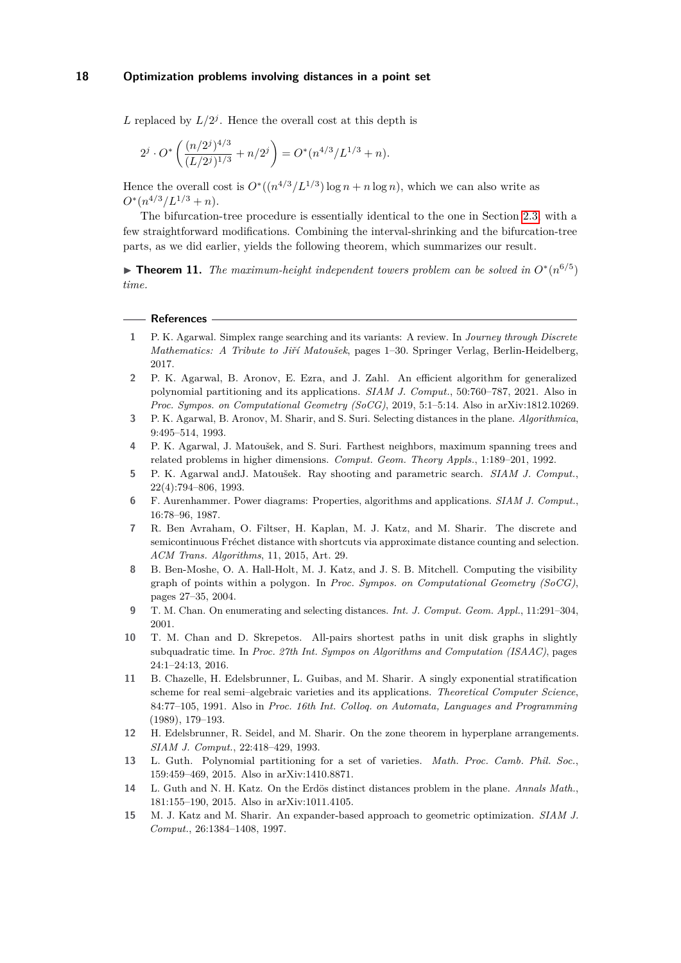L replaced by  $L/2<sup>j</sup>$ . Hence the overall cost at this depth is

$$
2^{j} \cdot O^* \left( \frac{(n/2^{j})^{4/3}}{(L/2^{j})^{1/3}} + n/2^{j} \right) = O^*(n^{4/3}/L^{1/3} + n).
$$

Hence the overall cost is  $O^*((n^{4/3}/L^{1/3}) \log n + n \log n)$ , which we can also write as  $O^*(n^{4/3}/L^{1/3}+n).$ 

The bifurcation-tree procedure is essentially identical to the one in Section [2.3,](#page-6-1) with a few straightforward modifications. Combining the interval-shrinking and the bifurcation-tree parts, as we did earlier, yields the following theorem, which summarizes our result.

**► Theorem 11.** *The maximum-height independent towers problem can be solved in*  $O<sup>*</sup>(n<sup>6/5</sup>)$ *time.*

#### **References**

- <span id="page-18-6"></span>**1** P. K. Agarwal. Simplex range searching and its variants: A review. In *Journey through Discrete Mathematics: A Tribute to Jiří Matoušek*, pages 1–30. Springer Verlag, Berlin-Heidelberg, 2017.
- <span id="page-18-3"></span>**2** P. K. Agarwal, B. Aronov, E. Ezra, and J. Zahl. An efficient algorithm for generalized polynomial partitioning and its applications. *SIAM J. Comput.*, 50:760–787, 2021. Also in *Proc. Sympos. on Computational Geometry (SoCG)*, 2019, 5:1–5:14. Also in arXiv:1812.10269.
- <span id="page-18-5"></span>**3** P. K. Agarwal, B. Aronov, M. Sharir, and S. Suri. Selecting distances in the plane. *Algorithmica*, 9:495–514, 1993.
- <span id="page-18-12"></span>**4** P. K. Agarwal, J. Matoušek, and S. Suri. Farthest neighbors, maximum spanning trees and related problems in higher dimensions. *Comput. Geom. Theory Appls.*, 1:189–201, 1992.
- <span id="page-18-13"></span>**5** P. K. Agarwal andJ. Matoušek. Ray shooting and parametric search. *SIAM J. Comput.*, 22(4):794–806, 1993.
- <span id="page-18-14"></span>**6** F. Aurenhammer. Power diagrams: Properties, algorithms and applications. *SIAM J. Comput.*, 16:78–96, 1987.
- <span id="page-18-0"></span>**7** R. Ben Avraham, O. Filtser, H. Kaplan, M. J. Katz, and M. Sharir. The discrete and semicontinuous Fréchet distance with shortcuts via approximate distance counting and selection. *ACM Trans. Algorithms*, 11, 2015, Art. 29.
- <span id="page-18-4"></span>**8** B. Ben-Moshe, O. A. Hall-Holt, M. J. Katz, and J. S. B. Mitchell. Computing the visibility graph of points within a polygon. In *Proc. Sympos. on Computational Geometry (SoCG)*, pages 27–35, 2004.
- <span id="page-18-2"></span>**9** T. M. Chan. On enumerating and selecting distances. *Int. J. Comput. Geom. Appl.*, 11:291–304, 2001.
- <span id="page-18-11"></span>**10** T. M. Chan and D. Skrepetos. All-pairs shortest paths in unit disk graphs in slightly subquadratic time. In *Proc. 27th Int. Sympos on Algorithms and Computation (ISAAC)*, pages 24:1–24:13, 2016.
- <span id="page-18-7"></span>**11** B. Chazelle, H. Edelsbrunner, L. Guibas, and M. Sharir. A singly exponential stratification scheme for real semi–algebraic varieties and its applications. *Theoretical Computer Science*, 84:77–105, 1991. Also in *Proc. 16th Int. Colloq. on Automata, Languages and Programming* (1989), 179–193.
- <span id="page-18-10"></span>**12** H. Edelsbrunner, R. Seidel, and M. Sharir. On the zone theorem in hyperplane arrangements. *SIAM J. Comput.*, 22:418–429, 1993.
- <span id="page-18-8"></span>**13** L. Guth. Polynomial partitioning for a set of varieties. *Math. Proc. Camb. Phil. Soc.*, 159:459–469, 2015. Also in arXiv:1410.8871.
- <span id="page-18-9"></span>**14** L. Guth and N. H. Katz. On the Erdös distinct distances problem in the plane. *Annals Math.*, 181:155–190, 2015. Also in arXiv:1011.4105.
- <span id="page-18-1"></span>**15** M. J. Katz and M. Sharir. An expander-based approach to geometric optimization. *SIAM J. Comput.*, 26:1384–1408, 1997.